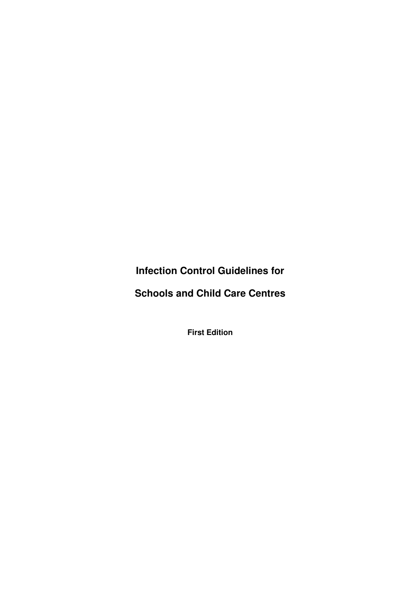**Infection Control Guidelines for** 

**Schools and Child Care Centres** 

**First Edition**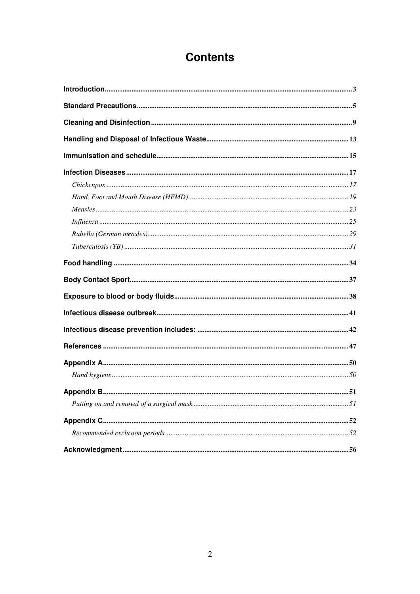# **Contents**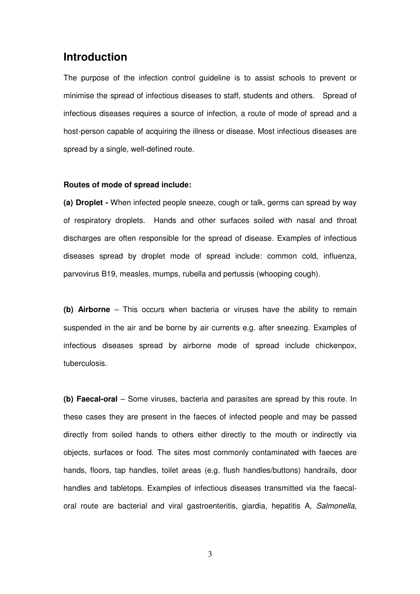### **Introduction**

The purpose of the infection control guideline is to assist schools to prevent or minimise the spread of infectious diseases to staff, students and others. Spread of infectious diseases requires a source of infection, a route of mode of spread and a host-person capable of acquiring the illness or disease. Most infectious diseases are spread by a single, well-defined route.

#### **Routes of mode of spread include:**

**(a) Droplet -** When infected people sneeze, cough or talk, germs can spread by way of respiratory droplets. Hands and other surfaces soiled with nasal and throat discharges are often responsible for the spread of disease. Examples of infectious diseases spread by droplet mode of spread include: common cold, influenza, parvovirus B19, measles, mumps, rubella and pertussis (whooping cough).

**(b) Airborne** – This occurs when bacteria or viruses have the ability to remain suspended in the air and be borne by air currents e.g. after sneezing. Examples of infectious diseases spread by airborne mode of spread include chickenpox, tuberculosis.

**(b) Faecal-oral** – Some viruses, bacteria and parasites are spread by this route. In these cases they are present in the faeces of infected people and may be passed directly from soiled hands to others either directly to the mouth or indirectly via objects, surfaces or food. The sites most commonly contaminated with faeces are hands, floors, tap handles, toilet areas (e.g. flush handles/buttons) handrails, door handles and tabletops. Examples of infectious diseases transmitted via the faecaloral route are bacterial and viral gastroenteritis, giardia, hepatitis A, Salmonella,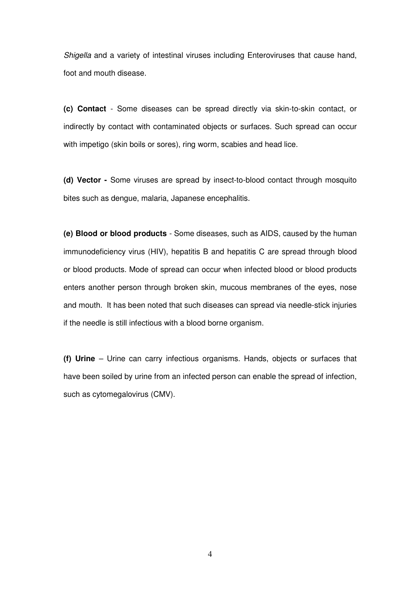Shigella and a variety of intestinal viruses including Enteroviruses that cause hand, foot and mouth disease.

**(c) Contact** - Some diseases can be spread directly via skin-to-skin contact, or indirectly by contact with contaminated objects or surfaces. Such spread can occur with impetigo (skin boils or sores), ring worm, scabies and head lice.

**(d) Vector -** Some viruses are spread by insect-to-blood contact through mosquito bites such as dengue, malaria, Japanese encephalitis.

**(e) Blood or blood products** - Some diseases, such as AIDS, caused by the human immunodeficiency virus (HIV), hepatitis B and hepatitis C are spread through blood or blood products. Mode of spread can occur when infected blood or blood products enters another person through broken skin, mucous membranes of the eyes, nose and mouth. It has been noted that such diseases can spread via needle-stick injuries if the needle is still infectious with a blood borne organism.

**(f) Urine** – Urine can carry infectious organisms. Hands, objects or surfaces that have been soiled by urine from an infected person can enable the spread of infection, such as cytomegalovirus (CMV).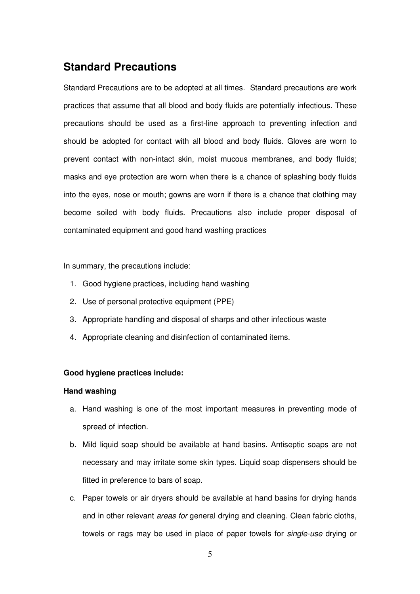## **Standard Precautions**

Standard Precautions are to be adopted at all times. Standard precautions are work practices that assume that all blood and body fluids are potentially infectious. These precautions should be used as a first-line approach to preventing infection and should be adopted for contact with all blood and body fluids. Gloves are worn to prevent contact with non-intact skin, moist mucous membranes, and body fluids; masks and eye protection are worn when there is a chance of splashing body fluids into the eyes, nose or mouth; gowns are worn if there is a chance that clothing may become soiled with body fluids. Precautions also include proper disposal of contaminated equipment and good hand washing practices

In summary, the precautions include:

- 1. Good hygiene practices, including hand washing
- 2. Use of personal protective equipment (PPE)
- 3. Appropriate handling and disposal of sharps and other infectious waste
- 4. Appropriate cleaning and disinfection of contaminated items.

#### **Good hygiene practices include:**

#### **Hand washing**

- a. Hand washing is one of the most important measures in preventing mode of spread of infection.
- b. Mild liquid soap should be available at hand basins. Antiseptic soaps are not necessary and may irritate some skin types. Liquid soap dispensers should be fitted in preference to bars of soap.
- c. Paper towels or air dryers should be available at hand basins for drying hands and in other relevant areas for general drying and cleaning. Clean fabric cloths, towels or rags may be used in place of paper towels for single-use drying or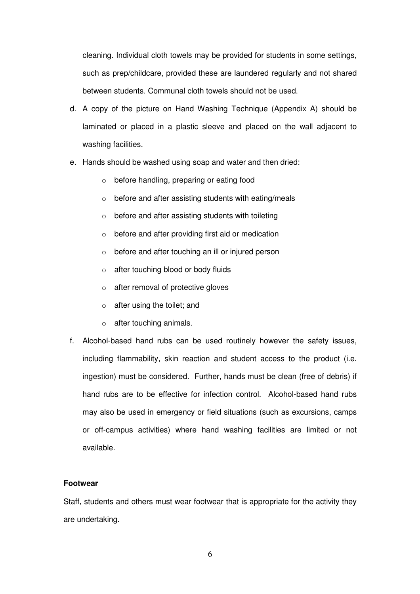cleaning. Individual cloth towels may be provided for students in some settings, such as prep/childcare, provided these are laundered regularly and not shared between students. Communal cloth towels should not be used.

- d. A copy of the picture on Hand Washing Technique (Appendix A) should be laminated or placed in a plastic sleeve and placed on the wall adjacent to washing facilities.
- e. Hands should be washed using soap and water and then dried:
	- o before handling, preparing or eating food
	- o before and after assisting students with eating/meals
	- $\circ$  before and after assisting students with toileting
	- o before and after providing first aid or medication
	- o before and after touching an ill or injured person
	- o after touching blood or body fluids
	- o after removal of protective gloves
	- o after using the toilet; and
	- o after touching animals.
- f. Alcohol-based hand rubs can be used routinely however the safety issues, including flammability, skin reaction and student access to the product (i.e. ingestion) must be considered. Further, hands must be clean (free of debris) if hand rubs are to be effective for infection control. Alcohol-based hand rubs may also be used in emergency or field situations (such as excursions, camps or off-campus activities) where hand washing facilities are limited or not available.

#### **Footwear**

Staff, students and others must wear footwear that is appropriate for the activity they are undertaking.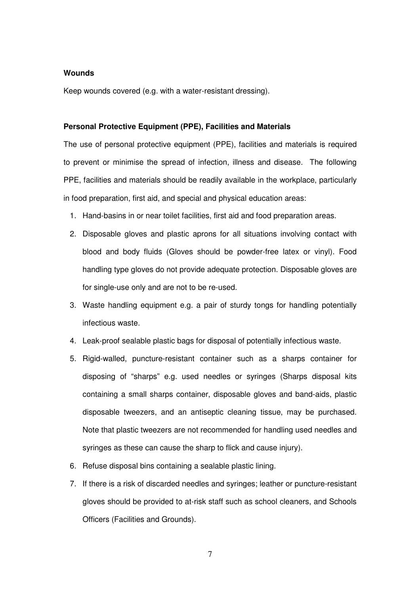#### **Wounds**

Keep wounds covered (e.g. with a water-resistant dressing).

#### **Personal Protective Equipment (PPE), Facilities and Materials**

The use of personal protective equipment (PPE), facilities and materials is required to prevent or minimise the spread of infection, illness and disease. The following PPE, facilities and materials should be readily available in the workplace, particularly in food preparation, first aid, and special and physical education areas:

- 1. Hand-basins in or near toilet facilities, first aid and food preparation areas.
- 2. Disposable gloves and plastic aprons for all situations involving contact with blood and body fluids (Gloves should be powder-free latex or vinyl). Food handling type gloves do not provide adequate protection. Disposable gloves are for single-use only and are not to be re-used.
- 3. Waste handling equipment e.g. a pair of sturdy tongs for handling potentially infectious waste.
- 4. Leak-proof sealable plastic bags for disposal of potentially infectious waste.
- 5. Rigid-walled, puncture-resistant container such as a sharps container for disposing of "sharps" e.g. used needles or syringes (Sharps disposal kits containing a small sharps container, disposable gloves and band-aids, plastic disposable tweezers, and an antiseptic cleaning tissue, may be purchased. Note that plastic tweezers are not recommended for handling used needles and syringes as these can cause the sharp to flick and cause injury).
- 6. Refuse disposal bins containing a sealable plastic lining.
- 7. If there is a risk of discarded needles and syringes; leather or puncture-resistant gloves should be provided to at-risk staff such as school cleaners, and Schools Officers (Facilities and Grounds).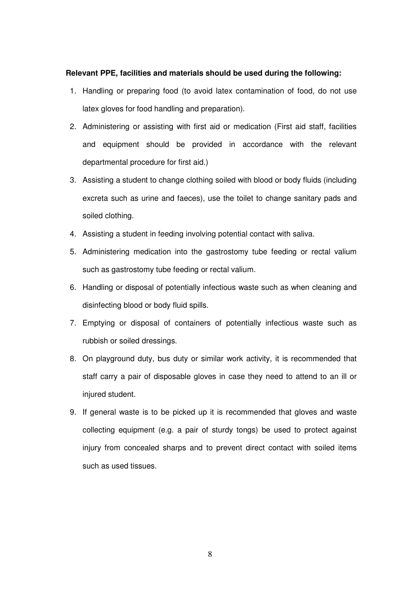#### **Relevant PPE, facilities and materials should be used during the following:**

- 1. Handling or preparing food (to avoid latex contamination of food, do not use latex gloves for food handling and preparation).
- 2. Administering or assisting with first aid or medication (First aid staff, facilities and equipment should be provided in accordance with the relevant departmental procedure for first aid.)
- 3. Assisting a student to change clothing soiled with blood or body fluids (including excreta such as urine and faeces), use the toilet to change sanitary pads and soiled clothing.
- 4. Assisting a student in feeding involving potential contact with saliva.
- 5. Administering medication into the gastrostomy tube feeding or rectal valium such as gastrostomy tube feeding or rectal valium.
- 6. Handling or disposal of potentially infectious waste such as when cleaning and disinfecting blood or body fluid spills.
- 7. Emptying or disposal of containers of potentially infectious waste such as rubbish or soiled dressings.
- 8. On playground duty, bus duty or similar work activity, it is recommended that staff carry a pair of disposable gloves in case they need to attend to an ill or injured student.
- 9. If general waste is to be picked up it is recommended that gloves and waste collecting equipment (e.g. a pair of sturdy tongs) be used to protect against injury from concealed sharps and to prevent direct contact with soiled items such as used tissues.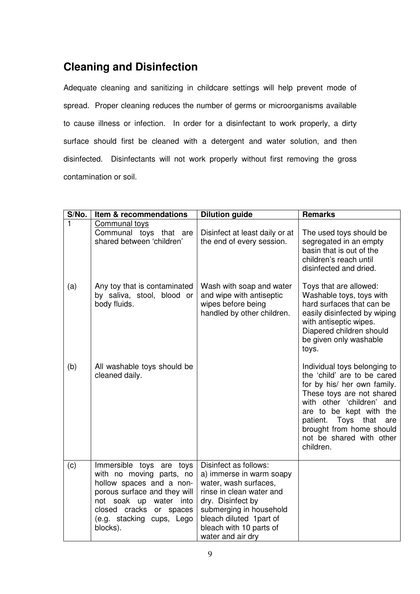# **Cleaning and Disinfection**

Adequate cleaning and sanitizing in childcare settings will help prevent mode of spread. Proper cleaning reduces the number of germs or microorganisms available to cause illness or infection. In order for a disinfectant to work properly, a dirty surface should first be cleaned with a detergent and water solution, and then disinfected. Disinfectants will not work properly without first removing the gross contamination or soil.

| S/No.          | Item & recommendations                                                                                                                                                                                            | <b>Dilution guide</b>                                                                                                                                                                                                             | <b>Remarks</b>                                                                                                                                                                                                                                                                       |
|----------------|-------------------------------------------------------------------------------------------------------------------------------------------------------------------------------------------------------------------|-----------------------------------------------------------------------------------------------------------------------------------------------------------------------------------------------------------------------------------|--------------------------------------------------------------------------------------------------------------------------------------------------------------------------------------------------------------------------------------------------------------------------------------|
| $\overline{1}$ | <b>Communal toys</b><br>Communal toys that are<br>shared between 'children'                                                                                                                                       | Disinfect at least daily or at<br>the end of every session.                                                                                                                                                                       | The used toys should be<br>segregated in an empty<br>basin that is out of the<br>children's reach until<br>disinfected and dried.                                                                                                                                                    |
| (a)            | Any toy that is contaminated<br>by saliva, stool, blood or<br>body fluids.                                                                                                                                        | Wash with soap and water<br>and wipe with antiseptic<br>wipes before being<br>handled by other children.                                                                                                                          | Toys that are allowed:<br>Washable toys, toys with<br>hard surfaces that can be<br>easily disinfected by wiping<br>with antiseptic wipes.<br>Diapered children should<br>be given only washable<br>toys.                                                                             |
| (b)            | All washable toys should be<br>cleaned daily.                                                                                                                                                                     |                                                                                                                                                                                                                                   | Individual toys belonging to<br>the 'child' are to be cared<br>for by his/ her own family.<br>These toys are not shared<br>with other 'children' and<br>are to be kept with the<br>patient.<br>Toys that<br>are<br>brought from home should<br>not be shared with other<br>children. |
| (c)            | Immersible toys are toys<br>with no moving parts, no<br>hollow spaces and a non-<br>porous surface and they will<br>not soak up water into<br>closed cracks<br>or spaces<br>(e.g. stacking cups, Lego<br>blocks). | Disinfect as follows:<br>a) immerse in warm soapy<br>water, wash surfaces,<br>rinse in clean water and<br>dry. Disinfect by<br>submerging in household<br>bleach diluted 1part of<br>bleach with 10 parts of<br>water and air dry |                                                                                                                                                                                                                                                                                      |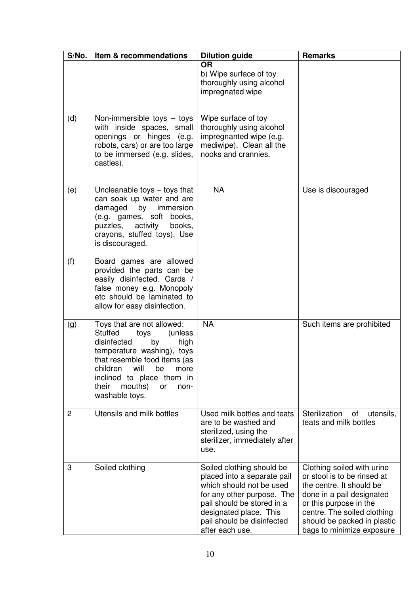| S/No. | Item & recommendations                                                                                                                                                                                                                                                        | <b>Dilution guide</b>                                                                                                                                                                                                       | <b>Remarks</b>                                                                                                                                                                                                                          |
|-------|-------------------------------------------------------------------------------------------------------------------------------------------------------------------------------------------------------------------------------------------------------------------------------|-----------------------------------------------------------------------------------------------------------------------------------------------------------------------------------------------------------------------------|-----------------------------------------------------------------------------------------------------------------------------------------------------------------------------------------------------------------------------------------|
| (d)   | Non-immersible toys $-$ toys<br>with inside spaces, small<br>openings or hinges (e.g.<br>robots, cars) or are too large<br>to be immersed (e.g. slides,<br>castles).                                                                                                          | <b>OR</b><br>b) Wipe surface of toy<br>thoroughly using alcohol<br>impregnated wipe<br>Wipe surface of toy<br>thoroughly using alcohol<br>impregnanted wipe (e.g.<br>mediwipe). Clean all the<br>nooks and crannies.        |                                                                                                                                                                                                                                         |
| (e)   | Uncleanable toys - toys that<br>can soak up water and are<br>damaged<br>by<br>immersion<br>(e.g. games, soft books,<br>activity<br>puzzles,<br>books,<br>crayons, stuffed toys). Use<br>is discouraged.                                                                       | <b>NA</b>                                                                                                                                                                                                                   | Use is discouraged                                                                                                                                                                                                                      |
| (f)   | Board games are allowed<br>provided the parts can be<br>easily disinfected. Cards /<br>false money e.g. Monopoly<br>etc should be laminated to<br>allow for easy disinfection.                                                                                                |                                                                                                                                                                                                                             |                                                                                                                                                                                                                                         |
| (g)   | Toys that are not allowed:<br><b>Stuffed</b><br>(unless<br>toys<br>disinfected<br>by<br>high<br>temperature washing), toys<br>that resemble food items (as<br>children<br>will<br>be<br>more<br>inclined to place them in<br>mouths)<br>their<br>or<br>non-<br>washable toys. | <b>NA</b>                                                                                                                                                                                                                   | Such items are prohibited                                                                                                                                                                                                               |
| 2     | Utensils and milk bottles                                                                                                                                                                                                                                                     | Used milk bottles and teats<br>are to be washed and<br>sterilized, using the<br>sterilizer, immediately after<br>use.                                                                                                       | Sterilization<br>of<br>utensils,<br>teats and milk bottles                                                                                                                                                                              |
| 3     | Soiled clothing                                                                                                                                                                                                                                                               | Soiled clothing should be<br>placed into a separate pail<br>which should not be used<br>for any other purpose. The<br>pail should be stored in a<br>designated place. This<br>pail should be disinfected<br>after each use. | Clothing soiled with urine<br>or stool is to be rinsed at<br>the centre. It should be<br>done in a pail designated<br>or this purpose in the<br>centre. The soiled clothing<br>should be packed in plastic<br>bags to minimize exposure |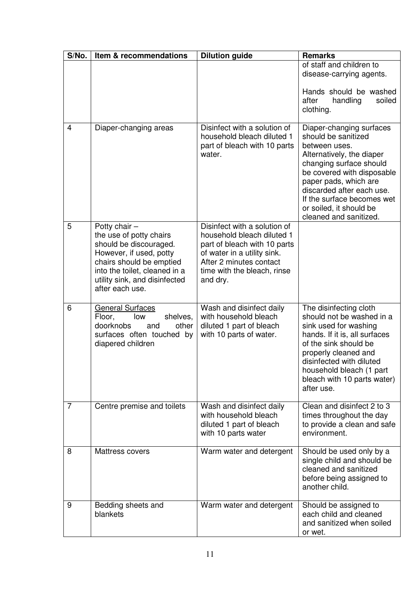| S/No.          | Item & recommendations                                                                                                                                                                                           | <b>Dilution guide</b>                                                                                                                                                                           | <b>Remarks</b>                                                                                                                                                                                                                                                                                  |
|----------------|------------------------------------------------------------------------------------------------------------------------------------------------------------------------------------------------------------------|-------------------------------------------------------------------------------------------------------------------------------------------------------------------------------------------------|-------------------------------------------------------------------------------------------------------------------------------------------------------------------------------------------------------------------------------------------------------------------------------------------------|
|                |                                                                                                                                                                                                                  |                                                                                                                                                                                                 | of staff and children to<br>disease-carrying agents.                                                                                                                                                                                                                                            |
|                |                                                                                                                                                                                                                  |                                                                                                                                                                                                 | Hands should be washed<br>handling<br>soiled<br>after<br>clothing.                                                                                                                                                                                                                              |
| $\overline{4}$ | Diaper-changing areas                                                                                                                                                                                            | Disinfect with a solution of<br>household bleach diluted 1<br>part of bleach with 10 parts<br>water.                                                                                            | Diaper-changing surfaces<br>should be sanitized<br>between uses.<br>Alternatively, the diaper<br>changing surface should<br>be covered with disposable<br>paper pads, which are<br>discarded after each use.<br>If the surface becomes wet<br>or soiled, it should be<br>cleaned and sanitized. |
| 5              | Potty chair $-$<br>the use of potty chairs<br>should be discouraged.<br>However, if used, potty<br>chairs should be emptied<br>into the toilet, cleaned in a<br>utility sink, and disinfected<br>after each use. | Disinfect with a solution of<br>household bleach diluted 1<br>part of bleach with 10 parts<br>of water in a utility sink.<br>After 2 minutes contact<br>time with the bleach, rinse<br>and dry. |                                                                                                                                                                                                                                                                                                 |
| 6              | <b>General Surfaces</b><br>Floor,<br>shelves,<br>low<br>doorknobs<br>other<br>and<br>surfaces often touched by<br>diapered children                                                                              | Wash and disinfect daily<br>with household bleach<br>diluted 1 part of bleach<br>with 10 parts of water.                                                                                        | The disinfecting cloth<br>should not be washed in a<br>sink used for washing<br>hands. If it is, all surfaces<br>of the sink should be<br>properly cleaned and<br>disinfected with diluted<br>household bleach (1 part<br>bleach with 10 parts water)<br>after use.                             |
| 7              | Centre premise and toilets                                                                                                                                                                                       | Wash and disinfect daily<br>with household bleach<br>diluted 1 part of bleach<br>with 10 parts water                                                                                            | Clean and disinfect 2 to 3<br>times throughout the day<br>to provide a clean and safe<br>environment.                                                                                                                                                                                           |
| 8              | Mattress covers                                                                                                                                                                                                  | Warm water and detergent                                                                                                                                                                        | Should be used only by a<br>single child and should be<br>cleaned and sanitized<br>before being assigned to<br>another child.                                                                                                                                                                   |
| 9              | Bedding sheets and<br>blankets                                                                                                                                                                                   | Warm water and detergent                                                                                                                                                                        | Should be assigned to<br>each child and cleaned<br>and sanitized when soiled<br>or wet.                                                                                                                                                                                                         |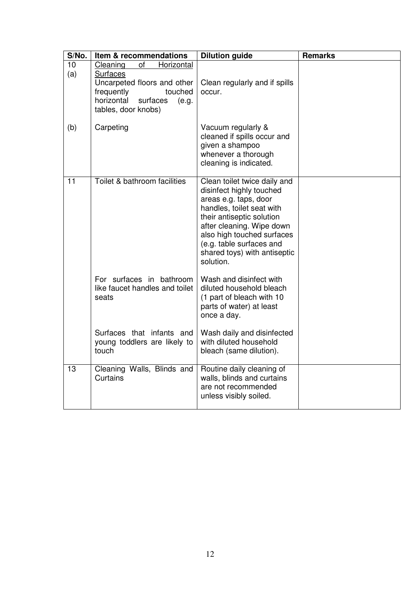| S/No.     | Item & recommendations                                                                                                                                            | <b>Dilution guide</b>                                                                                                                                                                                                                                                           | <b>Remarks</b> |
|-----------|-------------------------------------------------------------------------------------------------------------------------------------------------------------------|---------------------------------------------------------------------------------------------------------------------------------------------------------------------------------------------------------------------------------------------------------------------------------|----------------|
| 10<br>(a) | Cleaning<br>of<br>Horizontal<br><b>Surfaces</b><br>Uncarpeted floors and other<br>touched<br>frequently<br>horizontal<br>surfaces<br>(e.g.<br>tables, door knobs) | Clean regularly and if spills<br>occur.                                                                                                                                                                                                                                         |                |
| (b)       | Carpeting                                                                                                                                                         | Vacuum regularly &<br>cleaned if spills occur and<br>given a shampoo<br>whenever a thorough<br>cleaning is indicated.                                                                                                                                                           |                |
| 11        | Toilet & bathroom facilities                                                                                                                                      | Clean toilet twice daily and<br>disinfect highly touched<br>areas e.g. taps, door<br>handles, toilet seat with<br>their antiseptic solution<br>after cleaning. Wipe down<br>also high touched surfaces<br>(e.g. table surfaces and<br>shared toys) with antiseptic<br>solution. |                |
|           | For surfaces in bathroom<br>like faucet handles and toilet<br>seats<br>Surfaces that infants and                                                                  | Wash and disinfect with<br>diluted household bleach<br>(1 part of bleach with 10<br>parts of water) at least<br>once a day.<br>Wash daily and disinfected                                                                                                                       |                |
|           | young toddlers are likely to<br>touch                                                                                                                             | with diluted household<br>bleach (same dilution).                                                                                                                                                                                                                               |                |
| 13        | Cleaning Walls, Blinds and<br>Curtains                                                                                                                            | Routine daily cleaning of<br>walls, blinds and curtains<br>are not recommended<br>unless visibly soiled.                                                                                                                                                                        |                |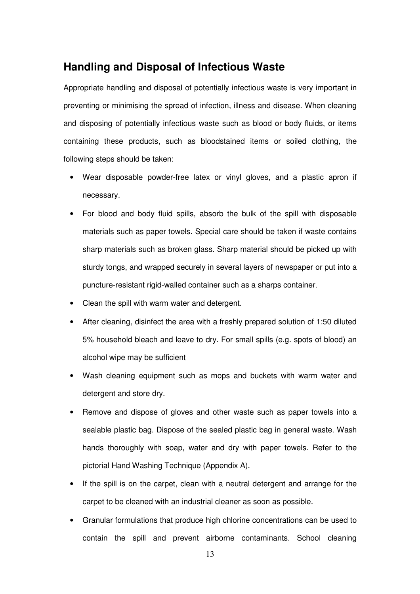## **Handling and Disposal of Infectious Waste**

Appropriate handling and disposal of potentially infectious waste is very important in preventing or minimising the spread of infection, illness and disease. When cleaning and disposing of potentially infectious waste such as blood or body fluids, or items containing these products, such as bloodstained items or soiled clothing, the following steps should be taken:

- Wear disposable powder-free latex or vinyl gloves, and a plastic apron if necessary.
- For blood and body fluid spills, absorb the bulk of the spill with disposable materials such as paper towels. Special care should be taken if waste contains sharp materials such as broken glass. Sharp material should be picked up with sturdy tongs, and wrapped securely in several layers of newspaper or put into a puncture-resistant rigid-walled container such as a sharps container.
- Clean the spill with warm water and detergent.
- After cleaning, disinfect the area with a freshly prepared solution of 1:50 diluted 5% household bleach and leave to dry. For small spills (e.g. spots of blood) an alcohol wipe may be sufficient
- Wash cleaning equipment such as mops and buckets with warm water and detergent and store dry.
- Remove and dispose of gloves and other waste such as paper towels into a sealable plastic bag. Dispose of the sealed plastic bag in general waste. Wash hands thoroughly with soap, water and dry with paper towels. Refer to the pictorial Hand Washing Technique (Appendix A).
- If the spill is on the carpet, clean with a neutral detergent and arrange for the carpet to be cleaned with an industrial cleaner as soon as possible.
- Granular formulations that produce high chlorine concentrations can be used to contain the spill and prevent airborne contaminants. School cleaning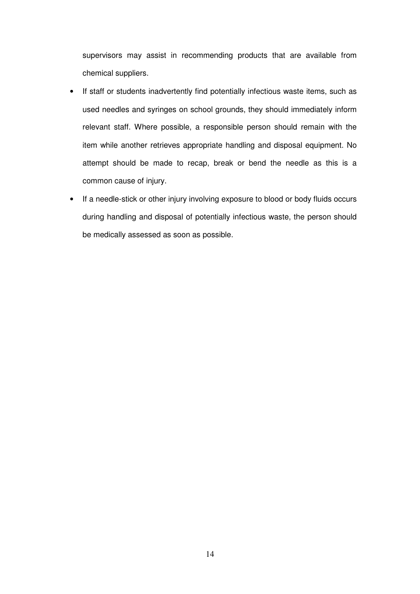supervisors may assist in recommending products that are available from chemical suppliers.

- If staff or students inadvertently find potentially infectious waste items, such as used needles and syringes on school grounds, they should immediately inform relevant staff. Where possible, a responsible person should remain with the item while another retrieves appropriate handling and disposal equipment. No attempt should be made to recap, break or bend the needle as this is a common cause of injury.
- If a needle-stick or other injury involving exposure to blood or body fluids occurs during handling and disposal of potentially infectious waste, the person should be medically assessed as soon as possible.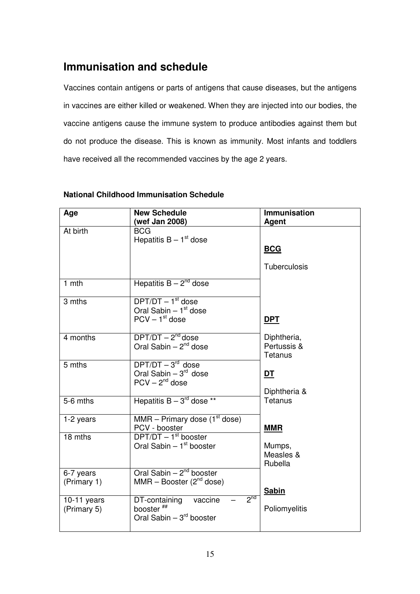# **Immunisation and schedule**

Vaccines contain antigens or parts of antigens that cause diseases, but the antigens in vaccines are either killed or weakened. When they are injected into our bodies, the vaccine antigens cause the immune system to produce antibodies against them but do not produce the disease. This is known as immunity. Most infants and toddlers have received all the recommended vaccines by the age 2 years.

| Age                          | <b>New Schedule</b><br>(wef Jan 2008)                                                                | <b>Immunisation</b><br>Agent          |
|------------------------------|------------------------------------------------------------------------------------------------------|---------------------------------------|
| At birth                     | <b>BCG</b><br>Hepatitis $B - 1st$ dose                                                               | <b>BCG</b>                            |
|                              |                                                                                                      | <b>Tuberculosis</b>                   |
| 1 mth                        | Hepatitis $B - 2^{nd}$ dose                                                                          |                                       |
| 3 mths                       | $DFT/DT - 1st$ dose<br>Oral Sabin $-1st$ dose                                                        |                                       |
|                              | $PCV - 1st$ dose                                                                                     | <b>DPT</b>                            |
| 4 months                     | $DPT/DT - 2nd$ dose<br>Oral Sabin $-2^{nd}$ dose                                                     | Diphtheria,<br>Pertussis &<br>Tetanus |
| 5 mths                       | $DPT/DT - 3rd$ dose<br>Oral Sabin $-3^{rd}$ dose<br>$PCV - 2nd$ dose                                 | <u>DT</u><br>Diphtheria &             |
| 5-6 mths                     | Hepatitis $B - 3^{rd}$ dose **                                                                       | Tetanus                               |
| 1-2 years                    | MMR – Primary dose $(1st$ dose)<br>PCV - booster                                                     | <b>MMR</b>                            |
| 18 mths                      | $DPT/DT - 1st booster$<br>Oral Sabin $-1st$ booster                                                  | Mumps,<br>Measles &<br>Rubella        |
| 6-7 years<br>(Primary 1)     | Oral Sabin $-2^{nd}$ booster<br>MMR – Booster $(2^{nd}$ dose)                                        | <b>Sabin</b>                          |
| $10-11$ years<br>(Primary 5) | 2 <sub>nd</sub><br>DT-containing<br>vaccine<br>booster <sup>##</sup><br>Oral Sabin $-3^{rd}$ booster | Poliomyelitis                         |

### **National Childhood Immunisation Schedule**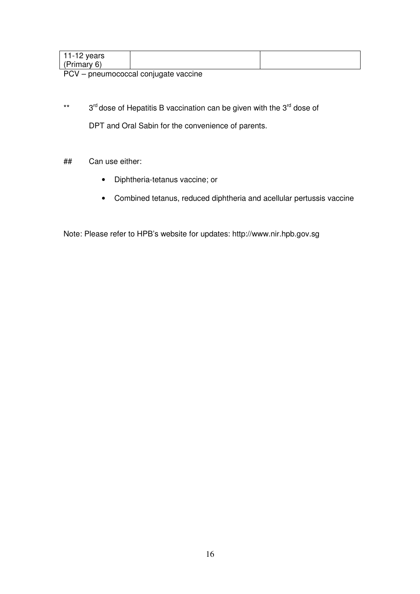| 11-12 years |  |
|-------------|--|
| (Primary 6) |  |

PCV – pneumococcal conjugate vaccine

- \*\* 3<sup>rd</sup> dose of Hepatitis B vaccination can be given with the 3<sup>rd</sup> dose of DPT and Oral Sabin for the convenience of parents.
- ## Can use either:
	- Diphtheria-tetanus vaccine; or
	- Combined tetanus, reduced diphtheria and acellular pertussis vaccine

Note: Please refer to HPB's website for updates: http://www.nir.hpb.gov.sg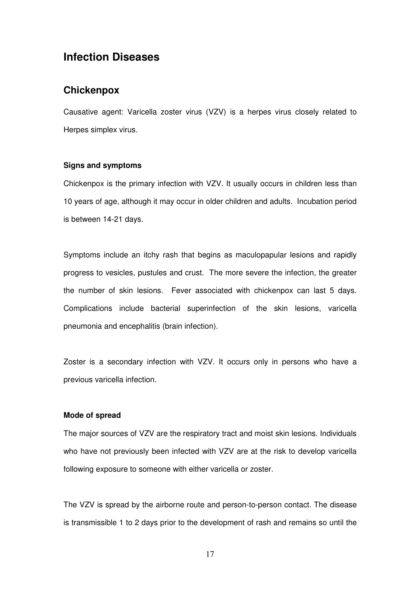## **Infection Diseases**

### **Chickenpox**

Causative agent: Varicella zoster virus (VZV) is a herpes virus closely related to Herpes simplex virus.

#### **Signs and symptoms**

Chickenpox is the primary infection with VZV. It usually occurs in children less than 10 years of age, although it may occur in older children and adults. Incubation period is between 14-21 days.

Symptoms include an itchy rash that begins as maculopapular lesions and rapidly progress to vesicles, pustules and crust. The more severe the infection, the greater the number of skin lesions. Fever associated with chickenpox can last 5 days. Complications include bacterial superinfection of the skin lesions, varicella pneumonia and encephalitis (brain infection).

Zoster is a secondary infection with VZV. It occurs only in persons who have a previous varicella infection.

#### **Mode of spread**

The major sources of VZV are the respiratory tract and moist skin lesions. Individuals who have not previously been infected with VZV are at the risk to develop varicella following exposure to someone with either varicella or zoster.

The VZV is spread by the airborne route and person-to-person contact. The disease is transmissible 1 to 2 days prior to the development of rash and remains so until the

17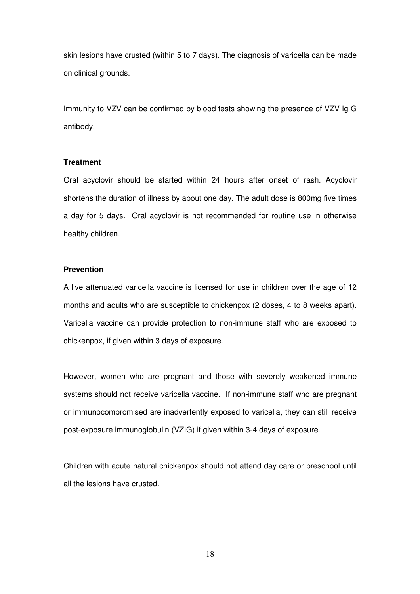skin lesions have crusted (within 5 to 7 days). The diagnosis of varicella can be made on clinical grounds.

Immunity to VZV can be confirmed by blood tests showing the presence of VZV Ig G antibody.

#### **Treatment**

Oral acyclovir should be started within 24 hours after onset of rash. Acyclovir shortens the duration of illness by about one day. The adult dose is 800mg five times a day for 5 days. Oral acyclovir is not recommended for routine use in otherwise healthy children.

#### **Prevention**

A live attenuated varicella vaccine is licensed for use in children over the age of 12 months and adults who are susceptible to chickenpox (2 doses, 4 to 8 weeks apart). Varicella vaccine can provide protection to non-immune staff who are exposed to chickenpox, if given within 3 days of exposure.

However, women who are pregnant and those with severely weakened immune systems should not receive varicella vaccine. If non-immune staff who are pregnant or immunocompromised are inadvertently exposed to varicella, they can still receive post-exposure immunoglobulin (VZIG) if given within 3-4 days of exposure.

Children with acute natural chickenpox should not attend day care or preschool until all the lesions have crusted.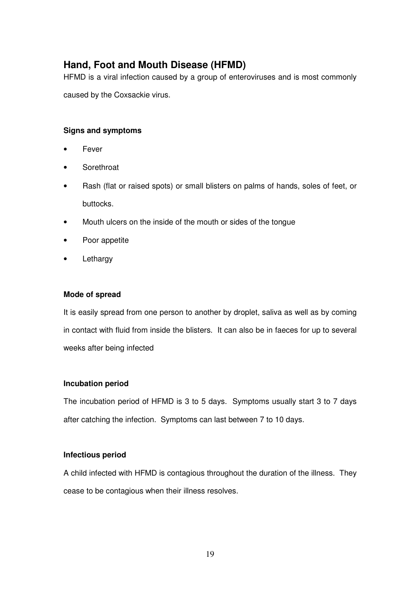## **Hand, Foot and Mouth Disease (HFMD)**

HFMD is a viral infection caused by a group of enteroviruses and is most commonly

caused by the Coxsackie virus.

### **Signs and symptoms**

- Fever
- **Sorethroat**
- Rash (flat or raised spots) or small blisters on palms of hands, soles of feet, or buttocks.
- Mouth ulcers on the inside of the mouth or sides of the tongue
- Poor appetite
- Lethargy

### **Mode of spread**

It is easily spread from one person to another by droplet, saliva as well as by coming in contact with fluid from inside the blisters. It can also be in faeces for up to several weeks after being infected

### **Incubation period**

The incubation period of HFMD is 3 to 5 days. Symptoms usually start 3 to 7 days after catching the infection. Symptoms can last between 7 to 10 days.

### **Infectious period**

A child infected with HFMD is contagious throughout the duration of the illness. They cease to be contagious when their illness resolves.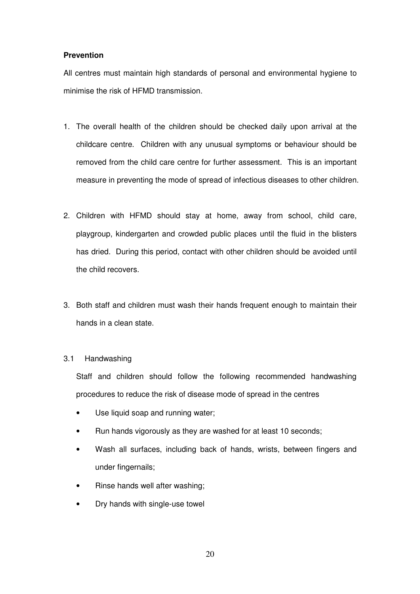#### **Prevention**

All centres must maintain high standards of personal and environmental hygiene to minimise the risk of HFMD transmission.

- 1. The overall health of the children should be checked daily upon arrival at the childcare centre. Children with any unusual symptoms or behaviour should be removed from the child care centre for further assessment. This is an important measure in preventing the mode of spread of infectious diseases to other children.
- 2. Children with HFMD should stay at home, away from school, child care, playgroup, kindergarten and crowded public places until the fluid in the blisters has dried. During this period, contact with other children should be avoided until the child recovers.
- 3. Both staff and children must wash their hands frequent enough to maintain their hands in a clean state.

#### 3.1 Handwashing

Staff and children should follow the following recommended handwashing procedures to reduce the risk of disease mode of spread in the centres

- Use liquid soap and running water;
- Run hands vigorously as they are washed for at least 10 seconds;
- Wash all surfaces, including back of hands, wrists, between fingers and under fingernails;
- Rinse hands well after washing;
- Dry hands with single-use towel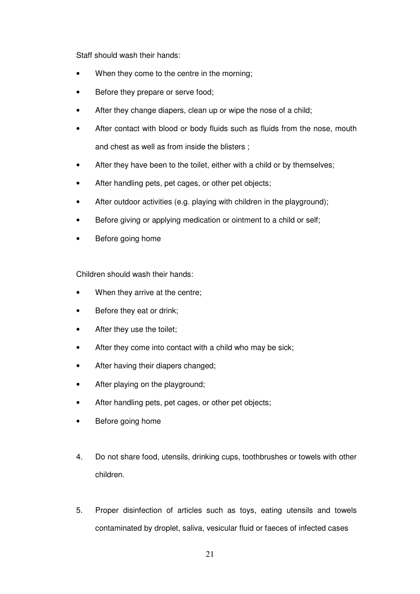Staff should wash their hands:

- When they come to the centre in the morning;
- Before they prepare or serve food;
- After they change diapers, clean up or wipe the nose of a child;
- After contact with blood or body fluids such as fluids from the nose, mouth and chest as well as from inside the blisters ;
- After they have been to the toilet, either with a child or by themselves;
- After handling pets, pet cages, or other pet objects;
- After outdoor activities (e.g. playing with children in the playground);
- Before giving or applying medication or ointment to a child or self;
- Before going home

Children should wash their hands:

- When they arrive at the centre;
- Before they eat or drink;
- After they use the toilet;
- After they come into contact with a child who may be sick;
- After having their diapers changed;
- After playing on the playground;
- After handling pets, pet cages, or other pet objects;
- Before going home
- 4. Do not share food, utensils, drinking cups, toothbrushes or towels with other children.
- 5. Proper disinfection of articles such as toys, eating utensils and towels contaminated by droplet, saliva, vesicular fluid or faeces of infected cases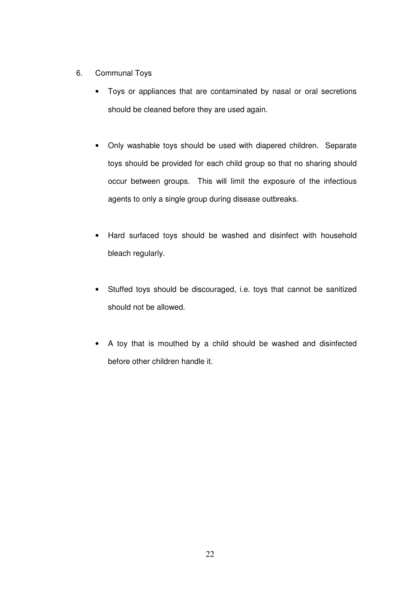- 6. Communal Toys
	- Toys or appliances that are contaminated by nasal or oral secretions should be cleaned before they are used again.
	- Only washable toys should be used with diapered children. Separate toys should be provided for each child group so that no sharing should occur between groups. This will limit the exposure of the infectious agents to only a single group during disease outbreaks.
	- Hard surfaced toys should be washed and disinfect with household bleach regularly.
	- Stuffed toys should be discouraged, i.e. toys that cannot be sanitized should not be allowed.
	- A toy that is mouthed by a child should be washed and disinfected before other children handle it.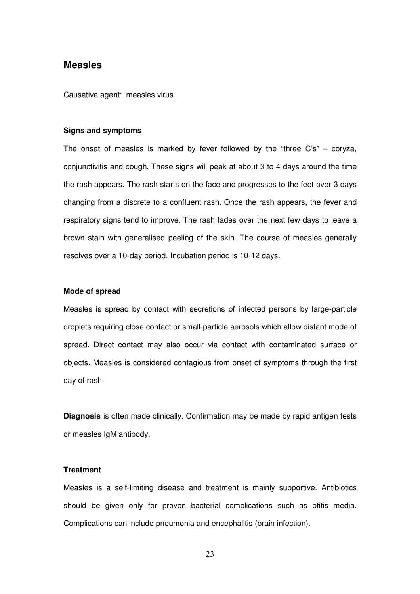### **Measles**

Causative agent: measles virus.

#### **Signs and symptoms**

The onset of measles is marked by fever followed by the "three C's" – coryza, conjunctivitis and cough. These signs will peak at about 3 to 4 days around the time the rash appears. The rash starts on the face and progresses to the feet over 3 days changing from a discrete to a confluent rash. Once the rash appears, the fever and respiratory signs tend to improve. The rash fades over the next few days to leave a brown stain with generalised peeling of the skin. The course of measles generally resolves over a 10-day period. Incubation period is 10-12 days.

#### **Mode of spread**

Measles is spread by contact with secretions of infected persons by large-particle droplets requiring close contact or small-particle aerosols which allow distant mode of spread. Direct contact may also occur via contact with contaminated surface or objects. Measles is considered contagious from onset of symptoms through the first day of rash.

**Diagnosis** is often made clinically. Confirmation may be made by rapid antigen tests or measles IgM antibody.

#### **Treatment**

Measles is a self-limiting disease and treatment is mainly supportive. Antibiotics should be given only for proven bacterial complications such as otitis media. Complications can include pneumonia and encephalitis (brain infection).

23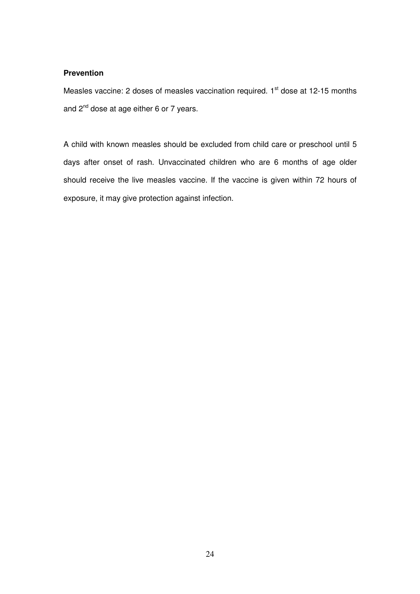#### **Prevention**

Measles vaccine: 2 doses of measles vaccination required. 1<sup>st</sup> dose at 12-15 months and  $2^{nd}$  dose at age either 6 or 7 years.

A child with known measles should be excluded from child care or preschool until 5 days after onset of rash. Unvaccinated children who are 6 months of age older should receive the live measles vaccine. If the vaccine is given within 72 hours of exposure, it may give protection against infection.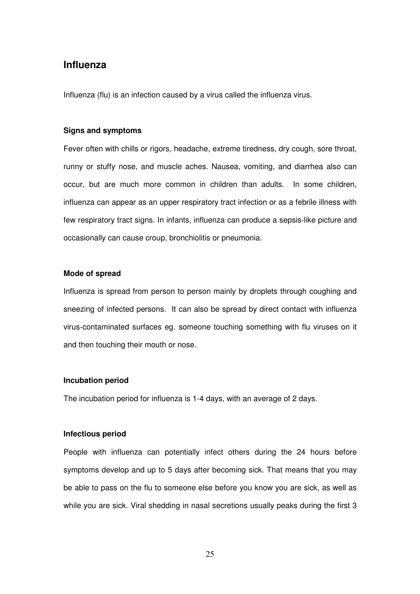### **Influenza**

Influenza (flu) is an infection caused by a virus called the influenza virus.

#### **Signs and symptoms**

Fever often with chills or rigors, headache, extreme tiredness, dry cough, sore throat, runny or stuffy nose, and muscle aches. Nausea, vomiting, and diarrhea also can occur, but are much more common in children than adults. In some children, influenza can appear as an upper respiratory tract infection or as a febrile illness with few respiratory tract signs. In infants, influenza can produce a sepsis-like picture and occasionally can cause croup, bronchiolitis or pneumonia.

#### **Mode of spread**

Influenza is spread from person to person mainly by droplets through coughing and sneezing of infected persons. It can also be spread by direct contact with influenza virus-contaminated surfaces eg. someone touching something with flu viruses on it and then touching their mouth or nose.

#### **Incubation period**

The incubation period for influenza is 1-4 days, with an average of 2 days.

#### **Infectious period**

People with influenza can potentially infect others during the 24 hours before symptoms develop and up to 5 days after becoming sick. That means that you may be able to pass on the flu to someone else before you know you are sick, as well as while you are sick. Viral shedding in nasal secretions usually peaks during the first 3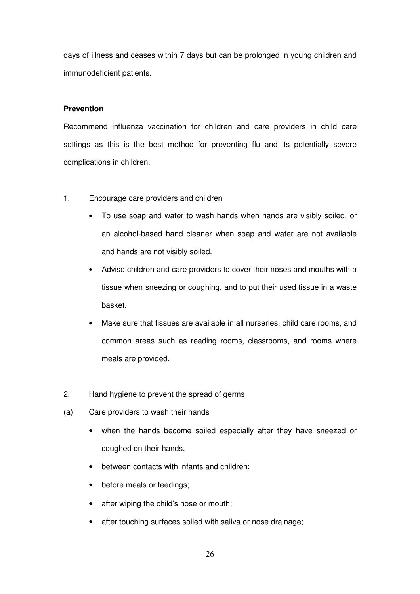days of illness and ceases within 7 days but can be prolonged in young children and immunodeficient patients.

#### **Prevention**

Recommend influenza vaccination for children and care providers in child care settings as this is the best method for preventing flu and its potentially severe complications in children.

### 1. Encourage care providers and children

- To use soap and water to wash hands when hands are visibly soiled, or an alcohol-based hand cleaner when soap and water are not available and hands are not visibly soiled.
- Advise children and care providers to cover their noses and mouths with a tissue when sneezing or coughing, and to put their used tissue in a waste basket.
- Make sure that tissues are available in all nurseries, child care rooms, and common areas such as reading rooms, classrooms, and rooms where meals are provided.

#### 2. Hand hygiene to prevent the spread of germs

- (a) Care providers to wash their hands
	- when the hands become soiled especially after they have sneezed or coughed on their hands.
	- between contacts with infants and children;
	- before meals or feedings:
	- after wiping the child's nose or mouth;
	- after touching surfaces soiled with saliva or nose drainage;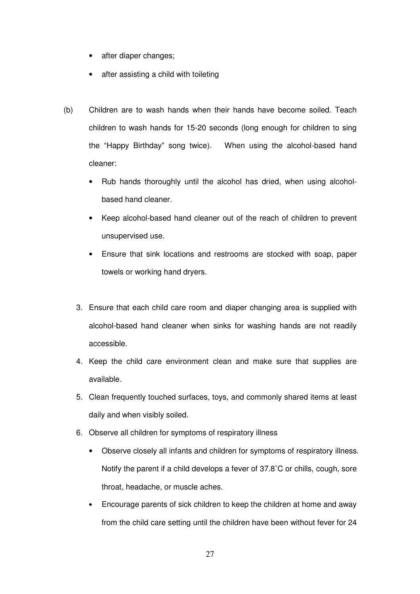- after diaper changes;
- after assisting a child with toileting
- (b) Children are to wash hands when their hands have become soiled. Teach children to wash hands for 15-20 seconds (long enough for children to sing the "Happy Birthday" song twice). When using the alcohol-based hand cleaner:
	- Rub hands thoroughly until the alcohol has dried, when using alcoholbased hand cleaner.
	- Keep alcohol-based hand cleaner out of the reach of children to prevent unsupervised use.
	- Ensure that sink locations and restrooms are stocked with soap, paper towels or working hand dryers.
	- 3. Ensure that each child care room and diaper changing area is supplied with alcohol-based hand cleaner when sinks for washing hands are not readily accessible.
	- 4. Keep the child care environment clean and make sure that supplies are available.
	- 5. Clean frequently touched surfaces, toys, and commonly shared items at least daily and when visibly soiled.
	- 6. Observe all children for symptoms of respiratory illness
		- Observe closely all infants and children for symptoms of respiratory illness. Notify the parent if a child develops a fever of 37.8˚C or chills, cough, sore throat, headache, or muscle aches.
		- Encourage parents of sick children to keep the children at home and away from the child care setting until the children have been without fever for 24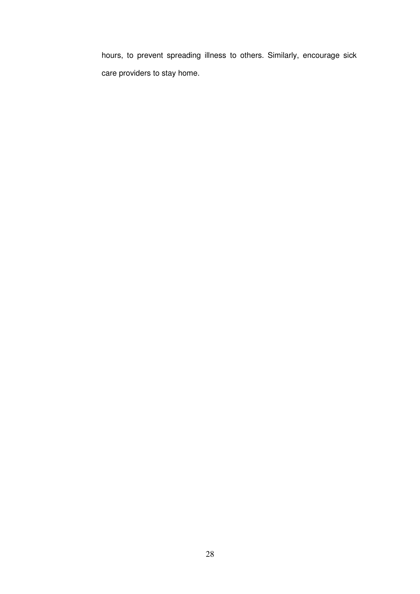hours, to prevent spreading illness to others. Similarly, encourage sick care providers to stay home.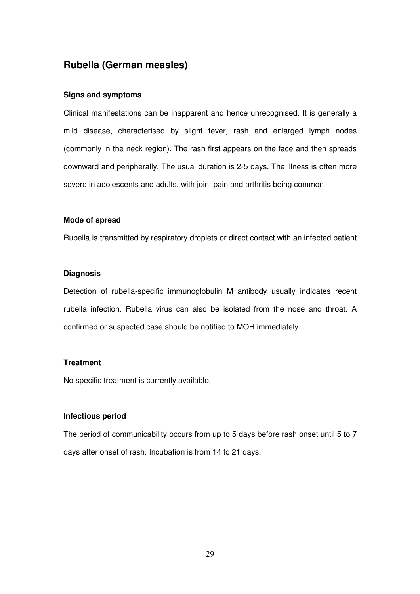## **Rubella (German measles)**

#### **Signs and symptoms**

Clinical manifestations can be inapparent and hence unrecognised. It is generally a mild disease, characterised by slight fever, rash and enlarged lymph nodes (commonly in the neck region). The rash first appears on the face and then spreads downward and peripherally. The usual duration is 2-5 days. The illness is often more severe in adolescents and adults, with joint pain and arthritis being common.

#### **Mode of spread**

Rubella is transmitted by respiratory droplets or direct contact with an infected patient.

#### **Diagnosis**

Detection of rubella-specific immunoglobulin M antibody usually indicates recent rubella infection. Rubella virus can also be isolated from the nose and throat. A confirmed or suspected case should be notified to MOH immediately.

#### **Treatment**

No specific treatment is currently available.

#### **Infectious period**

The period of communicability occurs from up to 5 days before rash onset until 5 to 7 days after onset of rash. Incubation is from 14 to 21 days.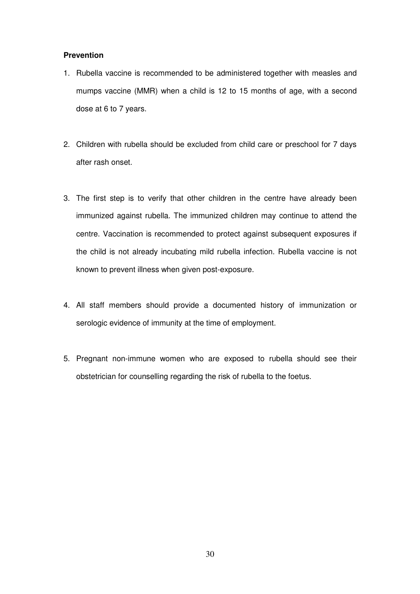### **Prevention**

- 1. Rubella vaccine is recommended to be administered together with measles and mumps vaccine (MMR) when a child is 12 to 15 months of age, with a second dose at 6 to 7 years.
- 2. Children with rubella should be excluded from child care or preschool for 7 days after rash onset.
- 3. The first step is to verify that other children in the centre have already been immunized against rubella. The immunized children may continue to attend the centre. Vaccination is recommended to protect against subsequent exposures if the child is not already incubating mild rubella infection. Rubella vaccine is not known to prevent illness when given post-exposure.
- 4. All staff members should provide a documented history of immunization or serologic evidence of immunity at the time of employment.
- 5. Pregnant non-immune women who are exposed to rubella should see their obstetrician for counselling regarding the risk of rubella to the foetus.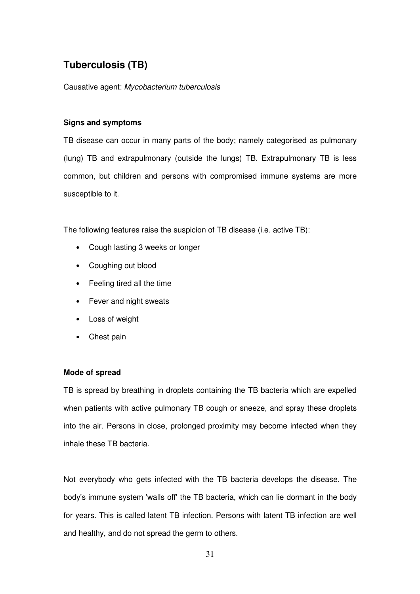## **Tuberculosis (TB)**

Causative agent: Mycobacterium tuberculosis

### **Signs and symptoms**

TB disease can occur in many parts of the body; namely categorised as pulmonary (lung) TB and extrapulmonary (outside the lungs) TB. Extrapulmonary TB is less common, but children and persons with compromised immune systems are more susceptible to it.

The following features raise the suspicion of TB disease (i.e. active TB):

- Cough lasting 3 weeks or longer
- Coughing out blood
- Feeling tired all the time
- Fever and night sweats
- Loss of weight
- Chest pain

### **Mode of spread**

TB is spread by breathing in droplets containing the TB bacteria which are expelled when patients with active pulmonary TB cough or sneeze, and spray these droplets into the air. Persons in close, prolonged proximity may become infected when they inhale these TB bacteria.

Not everybody who gets infected with the TB bacteria develops the disease. The body's immune system 'walls off' the TB bacteria, which can lie dormant in the body for years. This is called latent TB infection. Persons with latent TB infection are well and healthy, and do not spread the germ to others.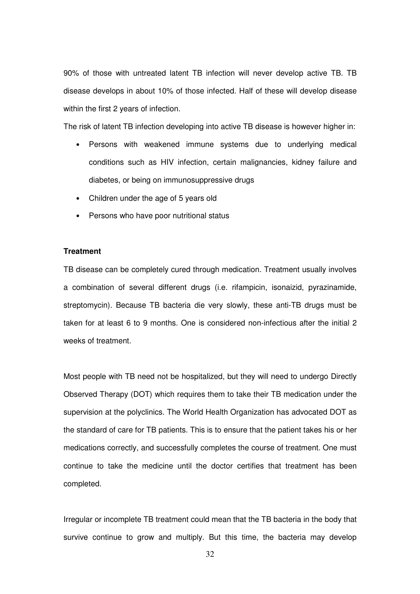90% of those with untreated latent TB infection will never develop active TB. TB disease develops in about 10% of those infected. Half of these will develop disease within the first 2 years of infection.

The risk of latent TB infection developing into active TB disease is however higher in:

- Persons with weakened immune systems due to underlying medical conditions such as HIV infection, certain malignancies, kidney failure and diabetes, or being on immunosuppressive drugs
- Children under the age of 5 years old
- Persons who have poor nutritional status

#### **Treatment**

TB disease can be completely cured through medication. Treatment usually involves a combination of several different drugs (i.e. rifampicin, isonaizid, pyrazinamide, streptomycin). Because TB bacteria die very slowly, these anti-TB drugs must be taken for at least 6 to 9 months. One is considered non-infectious after the initial 2 weeks of treatment.

Most people with TB need not be hospitalized, but they will need to undergo Directly Observed Therapy (DOT) which requires them to take their TB medication under the supervision at the polyclinics. The World Health Organization has advocated DOT as the standard of care for TB patients. This is to ensure that the patient takes his or her medications correctly, and successfully completes the course of treatment. One must continue to take the medicine until the doctor certifies that treatment has been completed.

Irregular or incomplete TB treatment could mean that the TB bacteria in the body that survive continue to grow and multiply. But this time, the bacteria may develop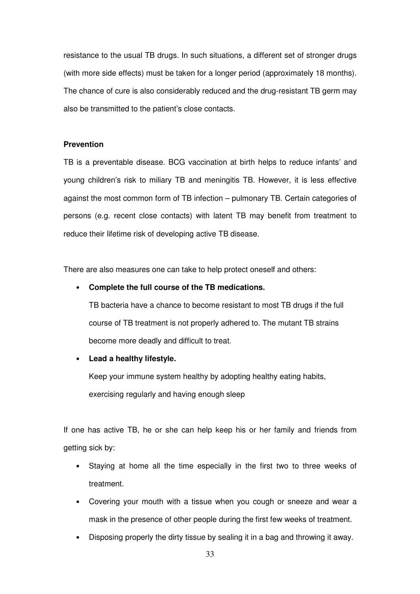resistance to the usual TB drugs. In such situations, a different set of stronger drugs (with more side effects) must be taken for a longer period (approximately 18 months). The chance of cure is also considerably reduced and the drug-resistant TB germ may also be transmitted to the patient's close contacts.

#### **Prevention**

TB is a preventable disease. BCG vaccination at birth helps to reduce infants' and young children's risk to miliary TB and meningitis TB. However, it is less effective against the most common form of TB infection – pulmonary TB. Certain categories of persons (e.g. recent close contacts) with latent TB may benefit from treatment to reduce their lifetime risk of developing active TB disease.

There are also measures one can take to help protect oneself and others:

#### • **Complete the full course of the TB medications.**

TB bacteria have a chance to become resistant to most TB drugs if the full course of TB treatment is not properly adhered to. The mutant TB strains become more deadly and difficult to treat.

• **Lead a healthy lifestyle.**

Keep your immune system healthy by adopting healthy eating habits, exercising regularly and having enough sleep

If one has active TB, he or she can help keep his or her family and friends from getting sick by:

- Staying at home all the time especially in the first two to three weeks of treatment.
- Covering your mouth with a tissue when you cough or sneeze and wear a mask in the presence of other people during the first few weeks of treatment.
- Disposing properly the dirty tissue by sealing it in a bag and throwing it away.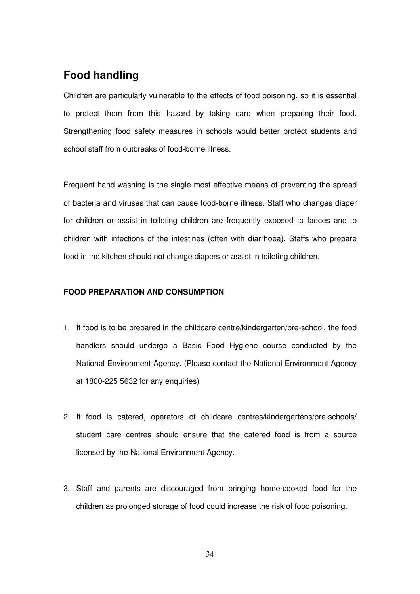## **Food handling**

Children are particularly vulnerable to the effects of food poisoning, so it is essential to protect them from this hazard by taking care when preparing their food. Strengthening food safety measures in schools would better protect students and school staff from outbreaks of food-borne illness.

Frequent hand washing is the single most effective means of preventing the spread of bacteria and viruses that can cause food-borne illness. Staff who changes diaper for children or assist in toileting children are frequently exposed to faeces and to children with infections of the intestines (often with diarrhoea). Staffs who prepare food in the kitchen should not change diapers or assist in toileting children.

### **FOOD PREPARATION AND CONSUMPTION**

- 1. If food is to be prepared in the childcare centre/kindergarten/pre-school, the food handlers should undergo a Basic Food Hygiene course conducted by the National Environment Agency. (Please contact the National Environment Agency at 1800-225 5632 for any enquiries)
- 2. If food is catered, operators of childcare centres/kindergartens/pre-schools/ student care centres should ensure that the catered food is from a source licensed by the National Environment Agency.
- 3. Staff and parents are discouraged from bringing home-cooked food for the children as prolonged storage of food could increase the risk of food poisoning.

34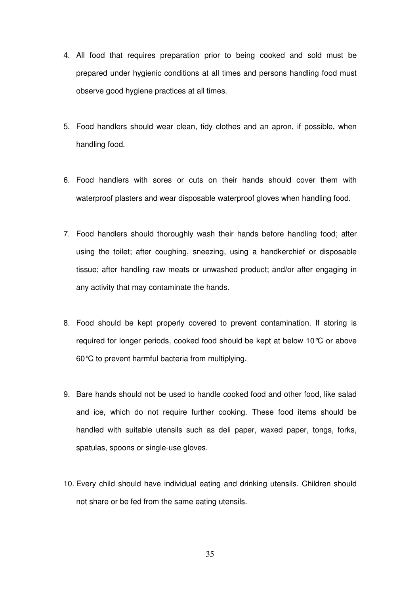- 4. All food that requires preparation prior to being cooked and sold must be prepared under hygienic conditions at all times and persons handling food must observe good hygiene practices at all times.
- 5. Food handlers should wear clean, tidy clothes and an apron, if possible, when handling food.
- 6. Food handlers with sores or cuts on their hands should cover them with waterproof plasters and wear disposable waterproof gloves when handling food.
- 7. Food handlers should thoroughly wash their hands before handling food; after using the toilet; after coughing, sneezing, using a handkerchief or disposable tissue; after handling raw meats or unwashed product; and/or after engaging in any activity that may contaminate the hands.
- 8. Food should be kept properly covered to prevent contamination. If storing is required for longer periods, cooked food should be kept at below 10°C or above 60°C to prevent harmful bacteria from multiplying.
- 9. Bare hands should not be used to handle cooked food and other food, like salad and ice, which do not require further cooking. These food items should be handled with suitable utensils such as deli paper, waxed paper, tongs, forks, spatulas, spoons or single-use gloves.
- 10. Every child should have individual eating and drinking utensils. Children should not share or be fed from the same eating utensils.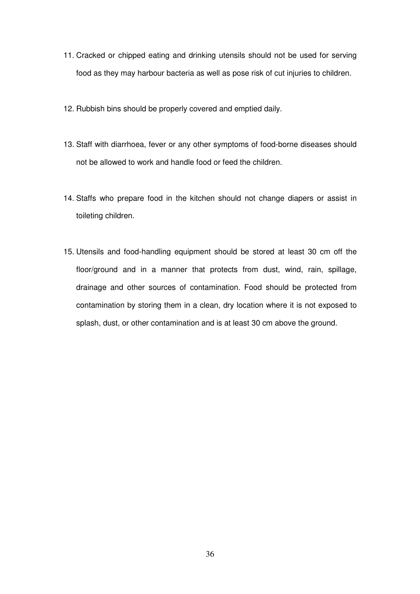- 11. Cracked or chipped eating and drinking utensils should not be used for serving food as they may harbour bacteria as well as pose risk of cut injuries to children.
- 12. Rubbish bins should be properly covered and emptied daily.
- 13. Staff with diarrhoea, fever or any other symptoms of food-borne diseases should not be allowed to work and handle food or feed the children.
- 14. Staffs who prepare food in the kitchen should not change diapers or assist in toileting children.
- 15. Utensils and food-handling equipment should be stored at least 30 cm off the floor/ground and in a manner that protects from dust, wind, rain, spillage, drainage and other sources of contamination. Food should be protected from contamination by storing them in a clean, dry location where it is not exposed to splash, dust, or other contamination and is at least 30 cm above the ground.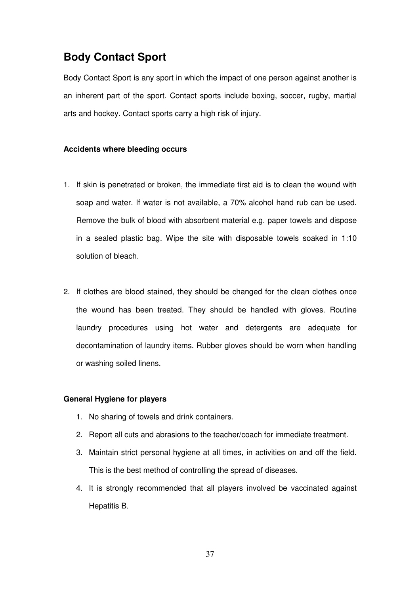## **Body Contact Sport**

Body Contact Sport is any sport in which the impact of one person against another is an inherent part of the sport. Contact sports include boxing, soccer, rugby, martial arts and hockey. Contact sports carry a high risk of injury.

### **Accidents where bleeding occurs**

- 1. If skin is penetrated or broken, the immediate first aid is to clean the wound with soap and water. If water is not available, a 70% alcohol hand rub can be used. Remove the bulk of blood with absorbent material e.g. paper towels and dispose in a sealed plastic bag. Wipe the site with disposable towels soaked in 1:10 solution of bleach.
- 2. If clothes are blood stained, they should be changed for the clean clothes once the wound has been treated. They should be handled with gloves. Routine laundry procedures using hot water and detergents are adequate for decontamination of laundry items. Rubber gloves should be worn when handling or washing soiled linens.

#### **General Hygiene for players**

- 1. No sharing of towels and drink containers.
- 2. Report all cuts and abrasions to the teacher/coach for immediate treatment.
- 3. Maintain strict personal hygiene at all times, in activities on and off the field. This is the best method of controlling the spread of diseases.
- 4. It is strongly recommended that all players involved be vaccinated against Hepatitis B.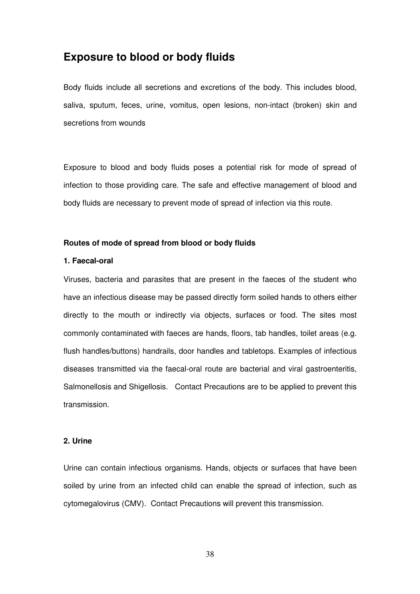## **Exposure to blood or body fluids**

Body fluids include all secretions and excretions of the body. This includes blood, saliva, sputum, feces, urine, vomitus, open lesions, non-intact (broken) skin and secretions from wounds

Exposure to blood and body fluids poses a potential risk for mode of spread of infection to those providing care. The safe and effective management of blood and body fluids are necessary to prevent mode of spread of infection via this route.

#### **Routes of mode of spread from blood or body fluids**

#### **1. Faecal-oral**

Viruses, bacteria and parasites that are present in the faeces of the student who have an infectious disease may be passed directly form soiled hands to others either directly to the mouth or indirectly via objects, surfaces or food. The sites most commonly contaminated with faeces are hands, floors, tab handles, toilet areas (e.g. flush handles/buttons) handrails, door handles and tabletops. Examples of infectious diseases transmitted via the faecal-oral route are bacterial and viral gastroenteritis, Salmonellosis and Shigellosis. Contact Precautions are to be applied to prevent this transmission.

### **2. Urine**

Urine can contain infectious organisms. Hands, objects or surfaces that have been soiled by urine from an infected child can enable the spread of infection, such as cytomegalovirus (CMV). Contact Precautions will prevent this transmission.

38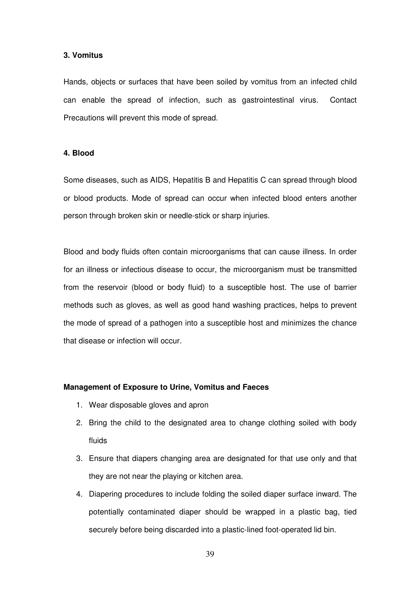#### **3. Vomitus**

Hands, objects or surfaces that have been soiled by vomitus from an infected child can enable the spread of infection, such as gastrointestinal virus. Contact Precautions will prevent this mode of spread.

#### **4. Blood**

Some diseases, such as AIDS, Hepatitis B and Hepatitis C can spread through blood or blood products. Mode of spread can occur when infected blood enters another person through broken skin or needle-stick or sharp injuries.

Blood and body fluids often contain microorganisms that can cause illness. In order for an illness or infectious disease to occur, the microorganism must be transmitted from the reservoir (blood or body fluid) to a susceptible host. The use of barrier methods such as gloves, as well as good hand washing practices, helps to prevent the mode of spread of a pathogen into a susceptible host and minimizes the chance that disease or infection will occur.

#### **Management of Exposure to Urine, Vomitus and Faeces**

- 1. Wear disposable gloves and apron
- 2. Bring the child to the designated area to change clothing soiled with body fluids
- 3. Ensure that diapers changing area are designated for that use only and that they are not near the playing or kitchen area.
- 4. Diapering procedures to include folding the soiled diaper surface inward. The potentially contaminated diaper should be wrapped in a plastic bag, tied securely before being discarded into a plastic-lined foot-operated lid bin.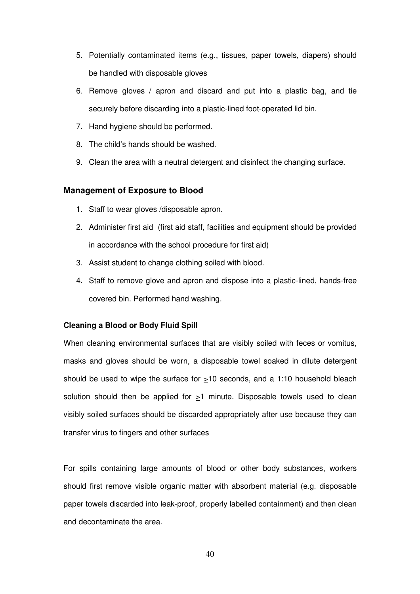- 5. Potentially contaminated items (e.g., tissues, paper towels, diapers) should be handled with disposable gloves
- 6. Remove gloves / apron and discard and put into a plastic bag, and tie securely before discarding into a plastic-lined foot-operated lid bin.
- 7. Hand hygiene should be performed.
- 8. The child's hands should be washed.
- 9. Clean the area with a neutral detergent and disinfect the changing surface.

#### **Management of Exposure to Blood**

- 1. Staff to wear gloves /disposable apron.
- 2. Administer first aid (first aid staff, facilities and equipment should be provided in accordance with the school procedure for first aid)
- 3. Assist student to change clothing soiled with blood.
- 4. Staff to remove glove and apron and dispose into a plastic-lined, hands-free covered bin. Performed hand washing.

#### **Cleaning a Blood or Body Fluid Spill**

When cleaning environmental surfaces that are visibly soiled with feces or vomitus, masks and gloves should be worn, a disposable towel soaked in dilute detergent should be used to wipe the surface for  $\geq$ 10 seconds, and a 1:10 household bleach solution should then be applied for  $\geq$ 1 minute. Disposable towels used to clean visibly soiled surfaces should be discarded appropriately after use because they can transfer virus to fingers and other surfaces

For spills containing large amounts of blood or other body substances, workers should first remove visible organic matter with absorbent material (e.g. disposable paper towels discarded into leak-proof, properly labelled containment) and then clean and decontaminate the area.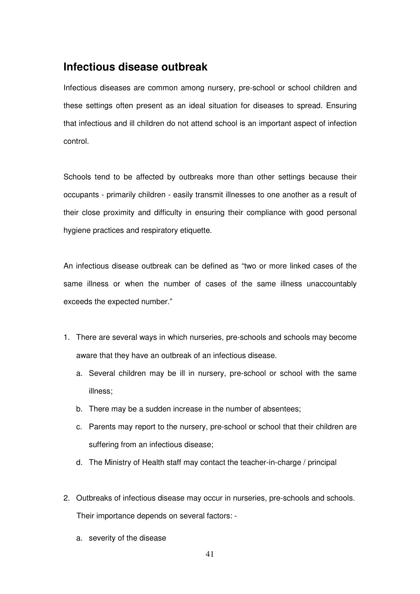## **Infectious disease outbreak**

Infectious diseases are common among nursery, pre-school or school children and these settings often present as an ideal situation for diseases to spread. Ensuring that infectious and ill children do not attend school is an important aspect of infection control.

Schools tend to be affected by outbreaks more than other settings because their occupants - primarily children - easily transmit illnesses to one another as a result of their close proximity and difficulty in ensuring their compliance with good personal hygiene practices and respiratory etiquette.

An infectious disease outbreak can be defined as "two or more linked cases of the same illness or when the number of cases of the same illness unaccountably exceeds the expected number."

- 1. There are several ways in which nurseries, pre-schools and schools may become aware that they have an outbreak of an infectious disease.
	- a. Several children may be ill in nursery, pre-school or school with the same illness;
	- b. There may be a sudden increase in the number of absentees;
	- c. Parents may report to the nursery, pre-school or school that their children are suffering from an infectious disease;
	- d. The Ministry of Health staff may contact the teacher-in-charge / principal
- 2. Outbreaks of infectious disease may occur in nurseries, pre-schools and schools. Their importance depends on several factors:
	- a. severity of the disease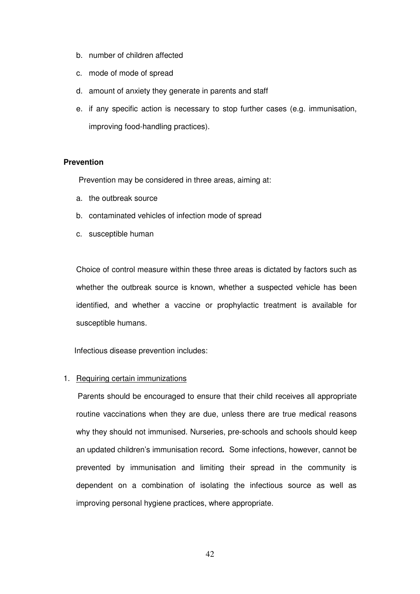- b. number of children affected
- c. mode of mode of spread
- d. amount of anxiety they generate in parents and staff
- e. if any specific action is necessary to stop further cases (e.g. immunisation, improving food-handling practices).

#### **Prevention**

Prevention may be considered in three areas, aiming at:

- a. the outbreak source
- b. contaminated vehicles of infection mode of spread
- c. susceptible human

Choice of control measure within these three areas is dictated by factors such as whether the outbreak source is known, whether a suspected vehicle has been identified, and whether a vaccine or prophylactic treatment is available for susceptible humans.

Infectious disease prevention includes:

### 1. Requiring certain immunizations

 Parents should be encouraged to ensure that their child receives all appropriate routine vaccinations when they are due, unless there are true medical reasons why they should not immunised. Nurseries, pre-schools and schools should keep an updated children's immunisation record**.** Some infections, however, cannot be prevented by immunisation and limiting their spread in the community is dependent on a combination of isolating the infectious source as well as improving personal hygiene practices, where appropriate.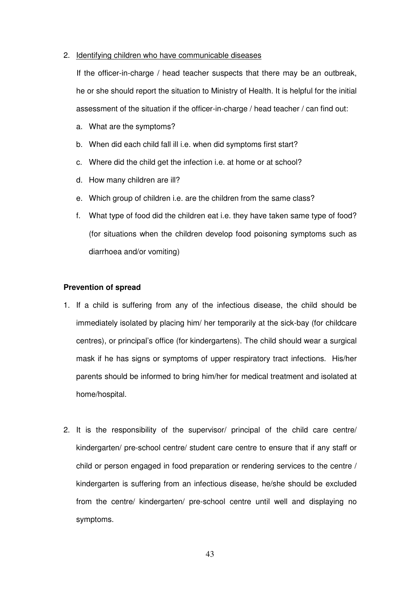#### 2. Identifying children who have communicable diseases

 If the officer-in-charge / head teacher suspects that there may be an outbreak, he or she should report the situation to Ministry of Health. It is helpful for the initial assessment of the situation if the officer-in-charge / head teacher / can find out:

- a. What are the symptoms?
- b. When did each child fall ill i.e. when did symptoms first start?
- c. Where did the child get the infection i.e. at home or at school?
- d. How many children are ill?
- e. Which group of children i.e. are the children from the same class?
- f. What type of food did the children eat i.e. they have taken same type of food? (for situations when the children develop food poisoning symptoms such as diarrhoea and/or vomiting)

#### **Prevention of spread**

- 1. If a child is suffering from any of the infectious disease, the child should be immediately isolated by placing him/ her temporarily at the sick-bay (for childcare centres), or principal's office (for kindergartens). The child should wear a surgical mask if he has signs or symptoms of upper respiratory tract infections. His/her parents should be informed to bring him/her for medical treatment and isolated at home/hospital.
- 2. It is the responsibility of the supervisor/ principal of the child care centre/ kindergarten/ pre-school centre/ student care centre to ensure that if any staff or child or person engaged in food preparation or rendering services to the centre / kindergarten is suffering from an infectious disease, he/she should be excluded from the centre/ kindergarten/ pre-school centre until well and displaying no symptoms.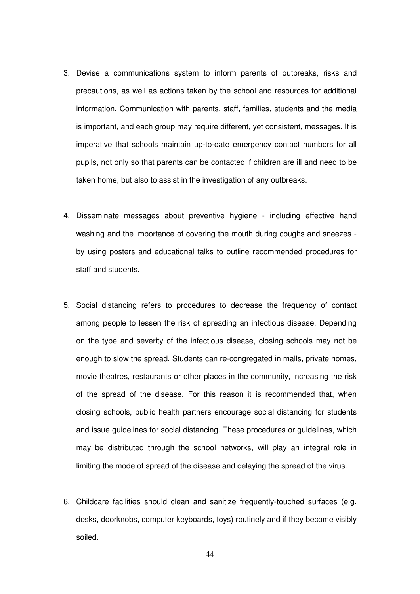- 3. Devise a communications system to inform parents of outbreaks, risks and precautions, as well as actions taken by the school and resources for additional information. Communication with parents, staff, families, students and the media is important, and each group may require different, yet consistent, messages. It is imperative that schools maintain up-to-date emergency contact numbers for all pupils, not only so that parents can be contacted if children are ill and need to be taken home, but also to assist in the investigation of any outbreaks.
- 4. Disseminate messages about preventive hygiene including effective hand washing and the importance of covering the mouth during coughs and sneezes by using posters and educational talks to outline recommended procedures for staff and students.
- 5. Social distancing refers to procedures to decrease the frequency of contact among people to lessen the risk of spreading an infectious disease. Depending on the type and severity of the infectious disease, closing schools may not be enough to slow the spread. Students can re-congregated in malls, private homes, movie theatres, restaurants or other places in the community, increasing the risk of the spread of the disease. For this reason it is recommended that, when closing schools, public health partners encourage social distancing for students and issue guidelines for social distancing. These procedures or guidelines, which may be distributed through the school networks, will play an integral role in limiting the mode of spread of the disease and delaying the spread of the virus.
- 6. Childcare facilities should clean and sanitize frequently-touched surfaces (e.g. desks, doorknobs, computer keyboards, toys) routinely and if they become visibly soiled.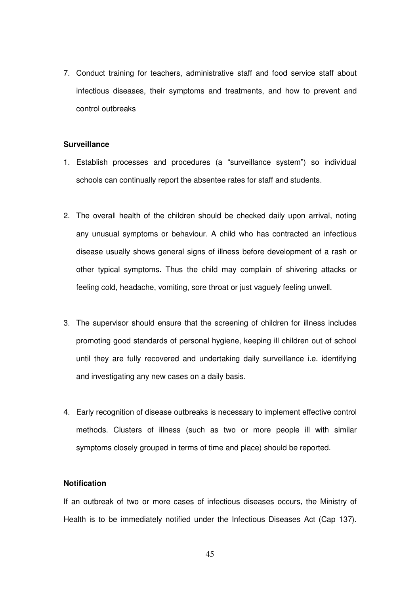7. Conduct training for teachers, administrative staff and food service staff about infectious diseases, their symptoms and treatments, and how to prevent and control outbreaks

#### **Surveillance**

- 1. Establish processes and procedures (a "surveillance system") so individual schools can continually report the absentee rates for staff and students.
- 2. The overall health of the children should be checked daily upon arrival, noting any unusual symptoms or behaviour. A child who has contracted an infectious disease usually shows general signs of illness before development of a rash or other typical symptoms. Thus the child may complain of shivering attacks or feeling cold, headache, vomiting, sore throat or just vaguely feeling unwell.
- 3. The supervisor should ensure that the screening of children for illness includes promoting good standards of personal hygiene, keeping ill children out of school until they are fully recovered and undertaking daily surveillance i.e. identifying and investigating any new cases on a daily basis.
- 4. Early recognition of disease outbreaks is necessary to implement effective control methods. Clusters of illness (such as two or more people ill with similar symptoms closely grouped in terms of time and place) should be reported.

### **Notification**

If an outbreak of two or more cases of infectious diseases occurs, the Ministry of Health is to be immediately notified under the Infectious Diseases Act (Cap 137).

45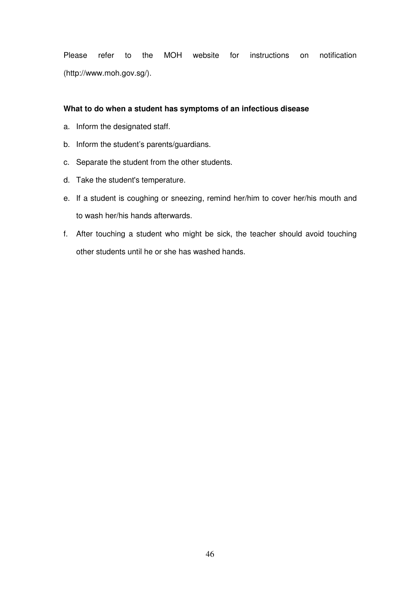Please refer to the MOH website for instructions on notification (http://www.moh.gov.sg/).

#### **What to do when a student has symptoms of an infectious disease**

- a. Inform the designated staff.
- b. Inform the student's parents/guardians.
- c. Separate the student from the other students.
- d. Take the student's temperature.
- e. If a student is coughing or sneezing, remind her/him to cover her/his mouth and to wash her/his hands afterwards.
- f. After touching a student who might be sick, the teacher should avoid touching other students until he or she has washed hands.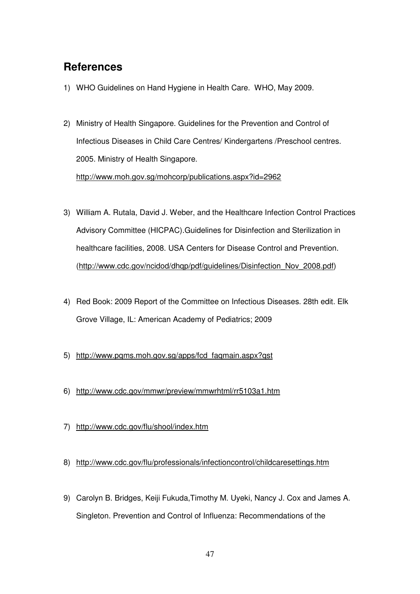## **References**

- 1) WHO Guidelines on Hand Hygiene in Health Care. WHO, May 2009.
- 2) Ministry of Health Singapore. Guidelines for the Prevention and Control of Infectious Diseases in Child Care Centres/ Kindergartens /Preschool centres. 2005. Ministry of Health Singapore. http://www.moh.gov.sg/mohcorp/publications.aspx?id=2962
- 3) William A. Rutala, David J. Weber, and the Healthcare Infection Control Practices Advisory Committee (HICPAC).Guidelines for Disinfection and Sterilization in healthcare facilities, 2008. USA Centers for Disease Control and Prevention. (http://www.cdc.gov/ncidod/dhqp/pdf/guidelines/Disinfection\_Nov\_2008.pdf)
- 4) Red Book: 2009 Report of the Committee on Infectious Diseases. 28th edit. Elk Grove Village, IL: American Academy of Pediatrics; 2009
- 5) http://www.pqms.moh.gov.sg/apps/fcd\_faqmain.aspx?qst
- 6) http://www.cdc.gov/mmwr/preview/mmwrhtml/rr5103a1.htm
- 7) http://www.cdc.gov/flu/shool/index.htm
- 8) http://www.cdc.gov/flu/professionals/infectioncontrol/childcaresettings.htm
- 9) Carolyn B. Bridges, Keiji Fukuda,Timothy M. Uyeki, Nancy J. Cox and James A. Singleton. Prevention and Control of Influenza: Recommendations of the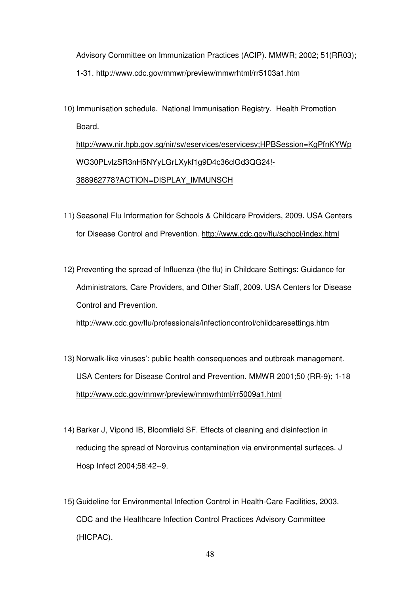Advisory Committee on Immunization Practices (ACIP). MMWR; 2002; 51(RR03); 1-31. http://www.cdc.gov/mmwr/preview/mmwrhtml/rr5103a1.htm

10) Immunisation schedule. National Immunisation Registry. Health Promotion Board.

http://www.nir.hpb.gov.sg/nir/sv/eservices/eservicesv;HPBSession=KgPfnKYWp WG30PLvlzSR3nH5NYyLGrLXykf1g9D4c36clGd3QG24!- 388962778?ACTION=DISPLAY\_IMMUNSCH

- 11) Seasonal Flu Information for Schools & Childcare Providers, 2009. USA Centers for Disease Control and Prevention. http://www.cdc.gov/flu/school/index.html
- 12) Preventing the spread of Influenza (the flu) in Childcare Settings: Guidance for Administrators, Care Providers, and Other Staff, 2009. USA Centers for Disease Control and Prevention.

http://www.cdc.gov/flu/professionals/infectioncontrol/childcaresettings.htm

- 13) Norwalk-like viruses': public health consequences and outbreak management. USA Centers for Disease Control and Prevention. MMWR 2001;50 (RR-9); 1-18 http://www.cdc.gov/mmwr/preview/mmwrhtml/rr5009a1.html
- 14) Barker J, Vipond IB, Bloomfield SF. Effects of cleaning and disinfection in reducing the spread of Norovirus contamination via environmental surfaces. J Hosp Infect 2004;58:42--9.
- 15) Guideline for Environmental Infection Control in Health-Care Facilities, 2003. CDC and the Healthcare Infection Control Practices Advisory Committee (HICPAC).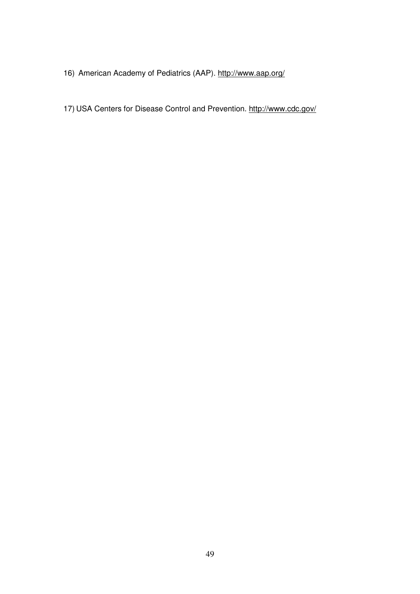- 16) American Academy of Pediatrics (AAP). http://www.aap.org/
- 17) USA Centers for Disease Control and Prevention. http://www.cdc.gov/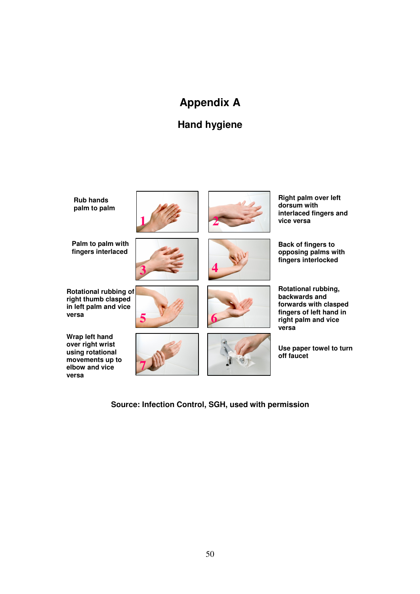# **Appendix A**

## **Hand hygiene**



**Source: Infection Control, SGH, used with permission**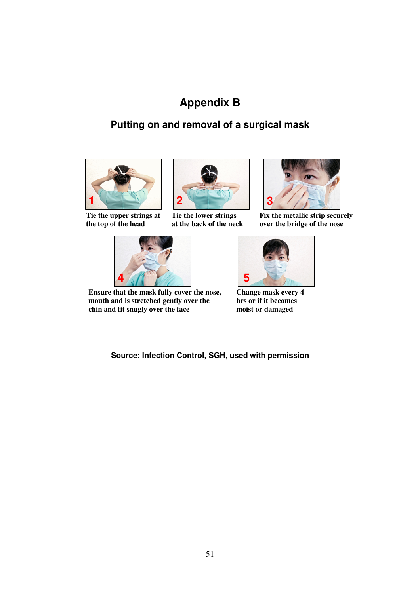# **Appendix B**

## **Putting on and removal of a surgical mask**



**Tie the upper strings at the top of the head** 



**Tie the lower strings at the back of the neck**



**Fix the metallic strip securely over the bridge of the nose** 



**Ensure that the mask fully cover the nose, mouth and is stretched gently over the chin and fit snugly over the face** 



**Change mask every 4 hrs or if it becomes moist or damaged** 

**Source: Infection Control, SGH, used with permission**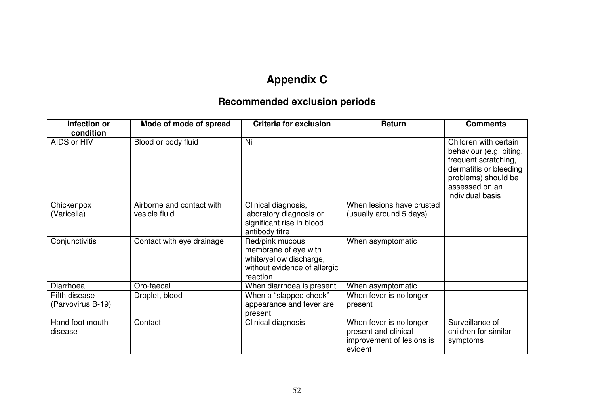# **Appendix C**

## **Recommended exclusion periods**

| Infection or<br>condition          | Mode of mode of spread                     | <b>Criteria for exclusion</b>                                                                                  | Return                                                                                  | <b>Comments</b>                                                                                                                                                 |
|------------------------------------|--------------------------------------------|----------------------------------------------------------------------------------------------------------------|-----------------------------------------------------------------------------------------|-----------------------------------------------------------------------------------------------------------------------------------------------------------------|
| AIDS or HIV                        | Blood or body fluid                        | Nil                                                                                                            |                                                                                         | Children with certain<br>behaviour )e.g. biting,<br>frequent scratching,<br>dermatitis or bleeding<br>problems) should be<br>assessed on an<br>individual basis |
| Chickenpox<br>(Varicella)          | Airborne and contact with<br>vesicle fluid | Clinical diagnosis,<br>laboratory diagnosis or<br>significant rise in blood<br>antibody titre                  | When lesions have crusted<br>(usually around 5 days)                                    |                                                                                                                                                                 |
| Conjunctivitis                     | Contact with eye drainage                  | Red/pink mucous<br>membrane of eye with<br>white/yellow discharge,<br>without evidence of allergic<br>reaction | When asymptomatic                                                                       |                                                                                                                                                                 |
| Diarrhoea                          | Oro-faecal                                 | When diarrhoea is present                                                                                      | When asymptomatic                                                                       |                                                                                                                                                                 |
| Fifth disease<br>(Parvovirus B-19) | Droplet, blood                             | When a "slapped cheek"<br>appearance and fever are<br>present                                                  | When fever is no longer<br>present                                                      |                                                                                                                                                                 |
| Hand foot mouth<br>disease         | Contact                                    | Clinical diagnosis                                                                                             | When fever is no longer<br>present and clinical<br>improvement of lesions is<br>evident | Surveillance of<br>children for similar<br>symptoms                                                                                                             |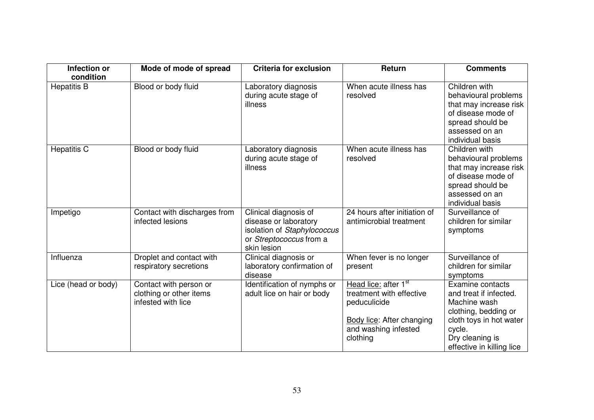| Infection or                    | Mode of mode of spread       | <b>Criteria for exclusion</b>                 | Return                           | <b>Comments</b>                              |
|---------------------------------|------------------------------|-----------------------------------------------|----------------------------------|----------------------------------------------|
| condition<br><b>Hepatitis B</b> | Blood or body fluid          |                                               | When acute illness has           | Children with                                |
|                                 |                              | Laboratory diagnosis<br>during acute stage of | resolved                         | behavioural problems                         |
|                                 |                              | illness                                       |                                  | that may increase risk                       |
|                                 |                              |                                               |                                  | of disease mode of                           |
|                                 |                              |                                               |                                  | spread should be                             |
|                                 |                              |                                               |                                  | assessed on an                               |
|                                 |                              |                                               |                                  | individual basis                             |
| <b>Hepatitis C</b>              | Blood or body fluid          | Laboratory diagnosis                          | When acute illness has           | Children with                                |
|                                 |                              | during acute stage of                         | resolved                         | behavioural problems                         |
|                                 |                              | illness                                       |                                  | that may increase risk<br>of disease mode of |
|                                 |                              |                                               |                                  | spread should be                             |
|                                 |                              |                                               |                                  | assessed on an                               |
|                                 |                              |                                               |                                  | individual basis                             |
| Impetigo                        | Contact with discharges from | Clinical diagnosis of                         | 24 hours after initiation of     | Surveillance of                              |
|                                 | infected lesions             | disease or laboratory                         | antimicrobial treatment          | children for similar                         |
|                                 |                              | isolation of Staphylococcus                   |                                  | symptoms                                     |
|                                 |                              | or Streptococcus from a                       |                                  |                                              |
|                                 |                              | skin lesion                                   |                                  |                                              |
| Influenza                       | Droplet and contact with     | Clinical diagnosis or                         | When fever is no longer          | Surveillance of<br>children for similar      |
|                                 | respiratory secretions       | laboratory confirmation of<br>disease         | present                          | symptoms                                     |
| Lice (head or body)             | Contact with person or       | Identification of nymphs or                   | Head lice: after 1 <sup>st</sup> | <b>Examine contacts</b>                      |
|                                 | clothing or other items      | adult lice on hair or body                    | treatment with effective         | and treat if infected.                       |
|                                 | infested with lice           |                                               | peduculicide                     | Machine wash                                 |
|                                 |                              |                                               |                                  | clothing, bedding or                         |
|                                 |                              |                                               | <b>Body lice: After changing</b> | cloth toys in hot water                      |
|                                 |                              |                                               | and washing infested             | cycle.                                       |
|                                 |                              |                                               | clothing                         | Dry cleaning is                              |
|                                 |                              |                                               |                                  | effective in killing lice                    |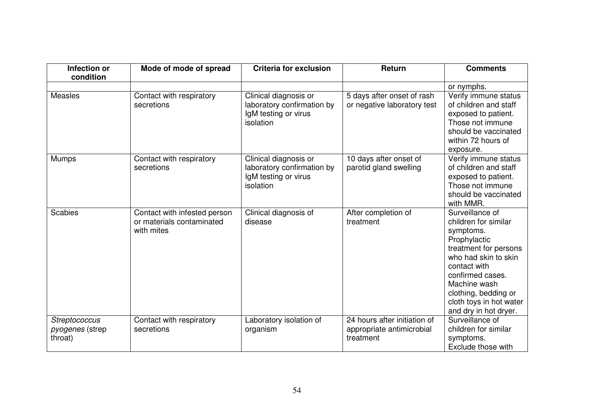| Infection or<br>condition                          | Mode of mode of spread                                                  | <b>Criteria for exclusion</b>                                                            | Return                                                                 | <b>Comments</b>                                                                                                                                                                                                                                       |
|----------------------------------------------------|-------------------------------------------------------------------------|------------------------------------------------------------------------------------------|------------------------------------------------------------------------|-------------------------------------------------------------------------------------------------------------------------------------------------------------------------------------------------------------------------------------------------------|
|                                                    |                                                                         |                                                                                          |                                                                        | or nymphs.                                                                                                                                                                                                                                            |
| <b>Measles</b>                                     | Contact with respiratory<br>secretions                                  | Clinical diagnosis or<br>laboratory confirmation by<br>IgM testing or virus<br>isolation | 5 days after onset of rash<br>or negative laboratory test              | Verify immune status<br>of children and staff<br>exposed to patient.<br>Those not immune<br>should be vaccinated<br>within 72 hours of<br>exposure.                                                                                                   |
| <b>Mumps</b>                                       | Contact with respiratory<br>secretions                                  | Clinical diagnosis or<br>laboratory confirmation by<br>IgM testing or virus<br>isolation | 10 days after onset of<br>parotid gland swelling                       | Verify immune status<br>of children and staff<br>exposed to patient.<br>Those not immune<br>should be vaccinated<br>with MMR.                                                                                                                         |
| <b>Scabies</b>                                     | Contact with infested person<br>or materials contaminated<br>with mites | Clinical diagnosis of<br>disease                                                         | After completion of<br>treatment                                       | Surveillance of<br>children for similar<br>symptoms.<br>Prophylactic<br>treatment for persons<br>who had skin to skin<br>contact with<br>confirmed cases.<br>Machine wash<br>clothing, bedding or<br>cloth toys in hot water<br>and dry in hot dryer. |
| Streptococcus<br><i>pyogenes</i> (strep<br>throat) | Contact with respiratory<br>secretions                                  | Laboratory isolation of<br>organism                                                      | 24 hours after initiation of<br>appropriate antimicrobial<br>treatment | Surveillance of<br>children for similar<br>symptoms.<br>Exclude those with                                                                                                                                                                            |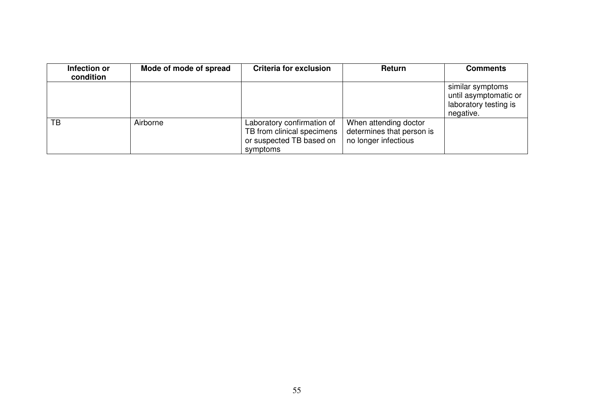| Infection or<br>condition | Mode of mode of spread | <b>Criteria for exclusion</b>                                                                    | <b>Return</b>                                                              | <b>Comments</b>                                                                 |
|---------------------------|------------------------|--------------------------------------------------------------------------------------------------|----------------------------------------------------------------------------|---------------------------------------------------------------------------------|
|                           |                        |                                                                                                  |                                                                            | similar symptoms<br>until asymptomatic or<br>laboratory testing is<br>negative. |
| <b>TB</b>                 | Airborne               | Laboratory confirmation of<br>TB from clinical specimens<br>or suspected TB based on<br>symptoms | When attending doctor<br>determines that person is<br>no longer infectious |                                                                                 |